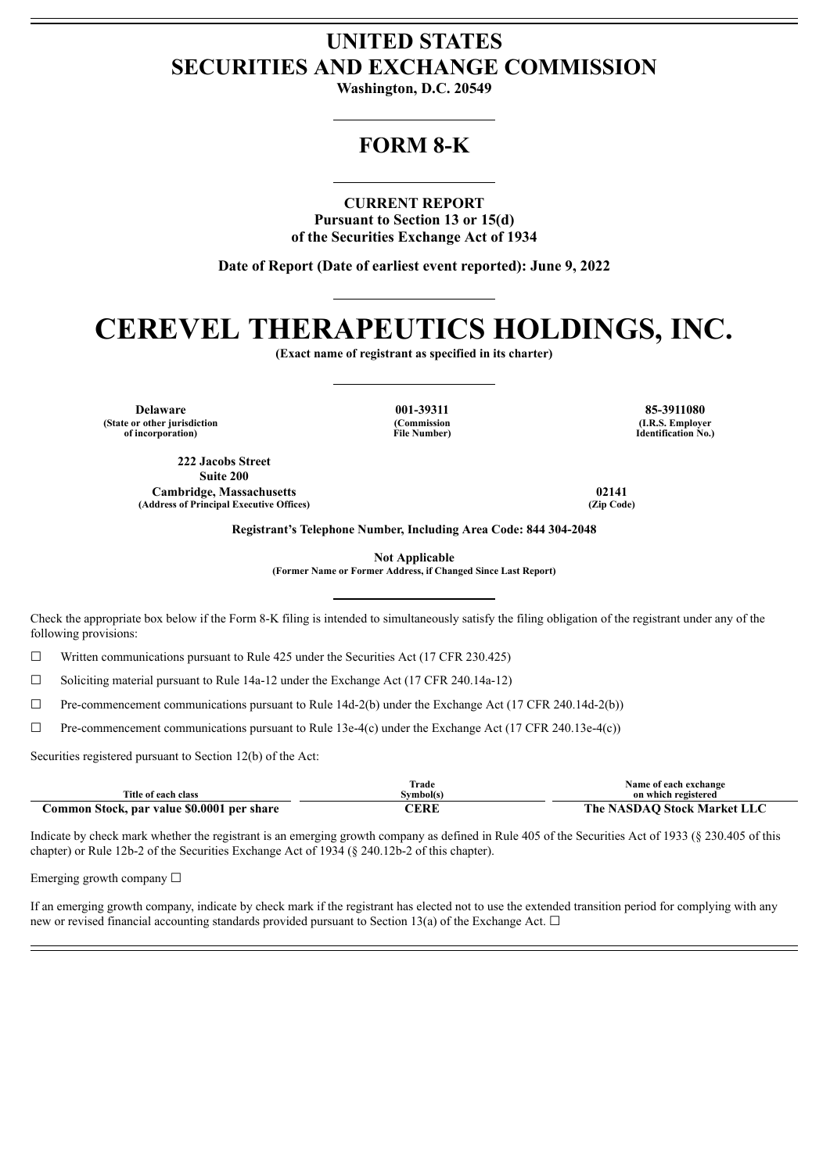## **UNITED STATES SECURITIES AND EXCHANGE COMMISSION**

**Washington, D.C. 20549**

## **FORM 8-K**

**CURRENT REPORT**

**Pursuant to Section 13 or 15(d) of the Securities Exchange Act of 1934**

**Date of Report (Date of earliest event reported): June 9, 2022**

# **CEREVEL THERAPEUTICS HOLDINGS, INC.**

**(Exact name of registrant as specified in its charter)**

**Delaware 001-39311 85-3911080 (State or other jurisdiction of incorporation)**

**222 Jacobs Street Suite 200 Cambridge, Massachusetts 02141 (Address of Principal Executive Offices) (Zip Code)**

**(Commission File Number)**

**(I.R.S. Employer Identification No.)**

**Registrant's Telephone Number, Including Area Code: 844 304-2048**

**Not Applicable**

**(Former Name or Former Address, if Changed Since Last Report)**

Check the appropriate box below if the Form 8-K filing is intended to simultaneously satisfy the filing obligation of the registrant under any of the following provisions:

 $\Box$  Written communications pursuant to Rule 425 under the Securities Act (17 CFR 230.425)

 $\Box$  Soliciting material pursuant to Rule 14a-12 under the Exchange Act (17 CFR 240.14a-12)

 $\Box$  Pre-commencement communications pursuant to Rule 14d-2(b) under the Exchange Act (17 CFR 240.14d-2(b))

 $\Box$  Pre-commencement communications pursuant to Rule 13e-4(c) under the Exchange Act (17 CFR 240.13e-4(c))

Securities registered pursuant to Section 12(b) of the Act:

|                                            | Trade     | Name of each exchange       |
|--------------------------------------------|-----------|-----------------------------|
| Title of each class                        | Symbol(s) | on which registered         |
| Common Stock, par value \$0.0001 per share | CERE      | The NASDAO Stock Market LLC |

Indicate by check mark whether the registrant is an emerging growth company as defined in Rule 405 of the Securities Act of 1933 (§ 230.405 of this chapter) or Rule 12b-2 of the Securities Exchange Act of 1934 (§ 240.12b-2 of this chapter).

Emerging growth company ☐

If an emerging growth company, indicate by check mark if the registrant has elected not to use the extended transition period for complying with any new or revised financial accounting standards provided pursuant to Section 13(a) of the Exchange Act.  $\Box$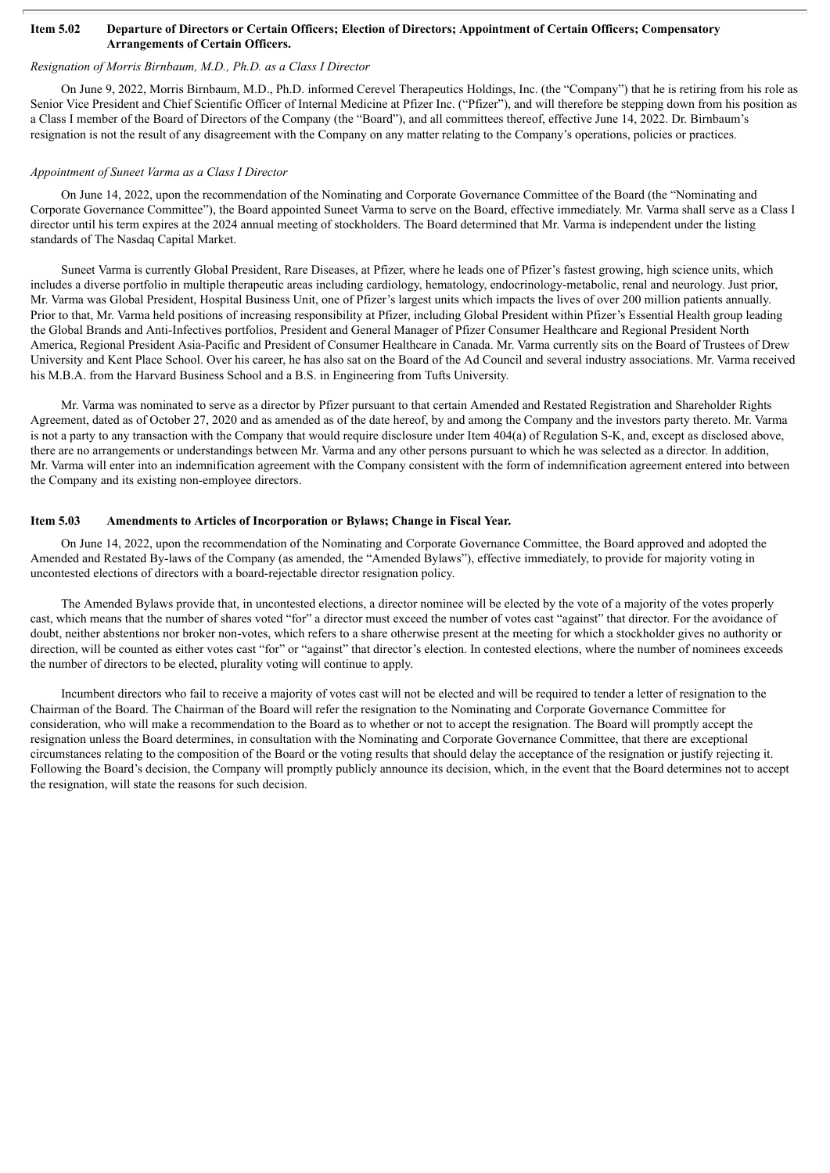#### Item 5.02 Departure of Directors or Certain Officers; Election of Directors; Appointment of Certain Officers; Compensatory **Arrangements of Certain Officers.**

#### *Resignation of Morris Birnbaum, M.D., Ph.D. as a Class I Director*

On June 9, 2022, Morris Birnbaum, M.D., Ph.D. informed Cerevel Therapeutics Holdings, Inc. (the "Company") that he is retiring from his role as Senior Vice President and Chief Scientific Officer of Internal Medicine at Pfizer Inc. ("Pfizer"), and will therefore be stepping down from his position as a Class I member of the Board of Directors of the Company (the "Board"), and all committees thereof, effective June 14, 2022. Dr. Birnbaum's resignation is not the result of any disagreement with the Company on any matter relating to the Company's operations, policies or practices.

#### *Appointment of Suneet Varma as a Class I Director*

On June 14, 2022, upon the recommendation of the Nominating and Corporate Governance Committee of the Board (the "Nominating and Corporate Governance Committee"), the Board appointed Suneet Varma to serve on the Board, effective immediately. Mr. Varma shall serve as a Class I director until his term expires at the 2024 annual meeting of stockholders. The Board determined that Mr. Varma is independent under the listing standards of The Nasdaq Capital Market.

Suneet Varma is currently Global President, Rare Diseases, at Pfizer, where he leads one of Pfizer's fastest growing, high science units, which includes a diverse portfolio in multiple therapeutic areas including cardiology, hematology, endocrinology-metabolic, renal and neurology. Just prior, Mr. Varma was Global President, Hospital Business Unit, one of Pfizer's largest units which impacts the lives of over 200 million patients annually. Prior to that, Mr. Varma held positions of increasing responsibility at Pfizer, including Global President within Pfizer's Essential Health group leading the Global Brands and Anti-Infectives portfolios, President and General Manager of Pfizer Consumer Healthcare and Regional President North America, Regional President Asia-Pacific and President of Consumer Healthcare in Canada. Mr. Varma currently sits on the Board of Trustees of Drew University and Kent Place School. Over his career, he has also sat on the Board of the Ad Council and several industry associations. Mr. Varma received his M.B.A. from the Harvard Business School and a B.S. in Engineering from Tufts University.

Mr. Varma was nominated to serve as a director by Pfizer pursuant to that certain Amended and Restated Registration and Shareholder Rights Agreement, dated as of October 27, 2020 and as amended as of the date hereof, by and among the Company and the investors party thereto. Mr. Varma is not a party to any transaction with the Company that would require disclosure under Item 404(a) of Regulation S-K, and, except as disclosed above, there are no arrangements or understandings between Mr. Varma and any other persons pursuant to which he was selected as a director. In addition, Mr. Varma will enter into an indemnification agreement with the Company consistent with the form of indemnification agreement entered into between the Company and its existing non-employee directors.

#### **Item 5.03 Amendments to Articles of Incorporation or Bylaws; Change in Fiscal Year.**

On June 14, 2022, upon the recommendation of the Nominating and Corporate Governance Committee, the Board approved and adopted the Amended and Restated By-laws of the Company (as amended, the "Amended Bylaws"), effective immediately, to provide for majority voting in uncontested elections of directors with a board-rejectable director resignation policy.

The Amended Bylaws provide that, in uncontested elections, a director nominee will be elected by the vote of a majority of the votes properly cast, which means that the number of shares voted "for" a director must exceed the number of votes cast "against" that director. For the avoidance of doubt, neither abstentions nor broker non-votes, which refers to a share otherwise present at the meeting for which a stockholder gives no authority or direction, will be counted as either votes cast "for" or "against" that director's election. In contested elections, where the number of nominees exceeds the number of directors to be elected, plurality voting will continue to apply.

Incumbent directors who fail to receive a majority of votes cast will not be elected and will be required to tender a letter of resignation to the Chairman of the Board. The Chairman of the Board will refer the resignation to the Nominating and Corporate Governance Committee for consideration, who will make a recommendation to the Board as to whether or not to accept the resignation. The Board will promptly accept the resignation unless the Board determines, in consultation with the Nominating and Corporate Governance Committee, that there are exceptional circumstances relating to the composition of the Board or the voting results that should delay the acceptance of the resignation or justify rejecting it. Following the Board's decision, the Company will promptly publicly announce its decision, which, in the event that the Board determines not to accept the resignation, will state the reasons for such decision.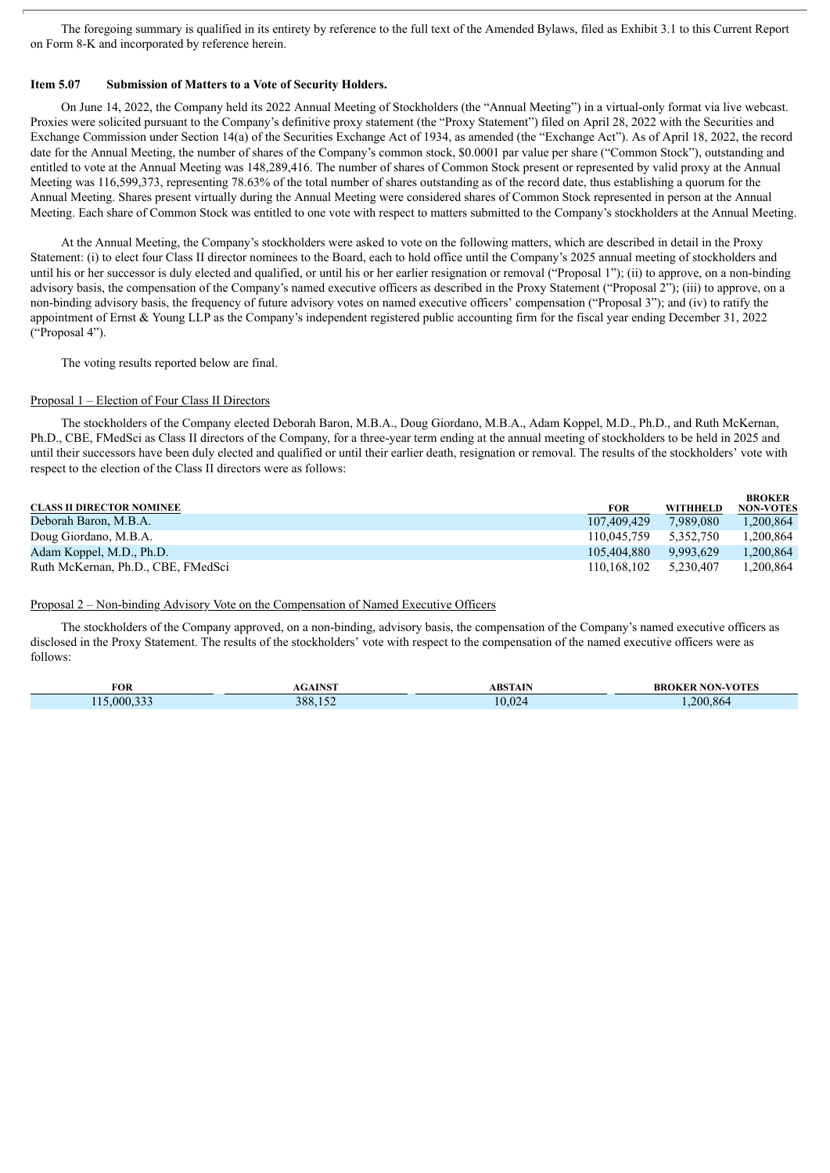The foregoing summary is qualified in its entirety by reference to the full text of the Amended Bylaws, filed as Exhibit 3.1 to this Current Report on Form 8-K and incorporated by reference herein.

#### **Item 5.07 Submission of Matters to a Vote of Security Holders.**

On June 14, 2022, the Company held its 2022 Annual Meeting of Stockholders (the "Annual Meeting") in a virtual-only format via live webcast. Proxies were solicited pursuant to the Company's definitive proxy statement (the "Proxy Statement") filed on April 28, 2022 with the Securities and Exchange Commission under Section 14(a) of the Securities Exchange Act of 1934, as amended (the "Exchange Act"). As of April 18, 2022, the record date for the Annual Meeting, the number of shares of the Company's common stock, \$0.0001 par value per share ("Common Stock"), outstanding and entitled to vote at the Annual Meeting was 148,289,416. The number of shares of Common Stock present or represented by valid proxy at the Annual Meeting was 116,599,373, representing 78.63% of the total number of shares outstanding as of the record date, thus establishing a quorum for the Annual Meeting. Shares present virtually during the Annual Meeting were considered shares of Common Stock represented in person at the Annual Meeting. Each share of Common Stock was entitled to one vote with respect to matters submitted to the Company's stockholders at the Annual Meeting.

At the Annual Meeting, the Company's stockholders were asked to vote on the following matters, which are described in detail in the Proxy Statement: (i) to elect four Class II director nominees to the Board, each to hold office until the Company's 2025 annual meeting of stockholders and until his or her successor is duly elected and qualified, or until his or her earlier resignation or removal ("Proposal 1"); (ii) to approve, on a non-binding advisory basis, the compensation of the Company's named executive officers as described in the Proxy Statement ("Proposal 2"); (iii) to approve, on a non-binding advisory basis, the frequency of future advisory votes on named executive officers' compensation ("Proposal 3"); and (iv) to ratify the appointment of Ernst & Young LLP as the Company's independent registered public accounting firm for the fiscal year ending December 31, 2022 ("Proposal 4").

The voting results reported below are final.

#### Proposal 1 – Election of Four Class II Directors

The stockholders of the Company elected Deborah Baron, M.B.A., Doug Giordano, M.B.A., Adam Koppel, M.D., Ph.D., and Ruth McKernan, Ph.D., CBE, FMedSci as Class II directors of the Company, for a three-year term ending at the annual meeting of stockholders to be held in 2025 and until their successors have been duly elected and qualified or until their earlier death, resignation or removal. The results of the stockholders' vote with respect to the election of the Class II directors were as follows:

|                                    |                       |           | <b>BROKER</b>    |
|------------------------------------|-----------------------|-----------|------------------|
| <b>CLASS II DIRECTOR NOMINEE</b>   | FOR                   | WITHHELD  | <b>NON-VOTES</b> |
| Deborah Baron, M.B.A.              | 107.409.429           | 7.989.080 | 1.200.864        |
| Doug Giordano, M.B.A.              | 110.045.759           | 5.352.750 | 1.200.864        |
| Adam Koppel, M.D., Ph.D.           | 105.404.880           | 9,993,629 | 1.200.864        |
| Ruth McKernan, Ph.D., CBE, FMedSci | 110,168,102 5,230,407 |           | 1,200,864        |

#### Proposal 2 – Non-binding Advisory Vote on the Compensation of Named Executive Officers

The stockholders of the Company approved, on a non-binding, advisory basis, the compensation of the Company's named executive officers as disclosed in the Proxy Statement. The results of the stockholders' vote with respect to the compensation of the named executive officers were as follows:

|            |         |                | : NON-VOTES |
|------------|---------|----------------|-------------|
| <b>FOR</b> | ATNCT   | <b>ABSTAIN</b> |             |
| 5.000.333  | 388,152 | 0.024          | 200.864     |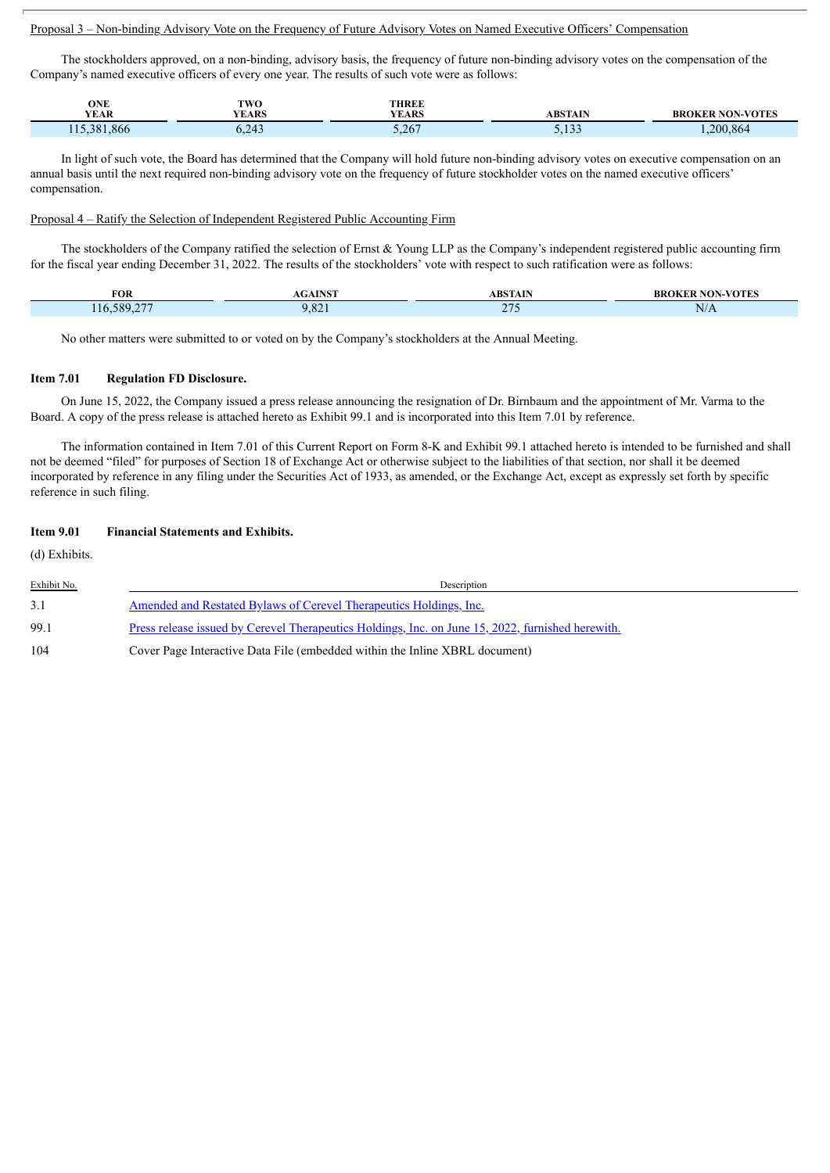#### Proposal 3 – Non-binding Advisory Vote on the Frequency of Future Advisory Votes on Named Executive Officers' Compensation

The stockholders approved, on a non-binding, advisory basis, the frequency of future non-binding advisory votes on the compensation of the Company's named executive officers of every one year. The results of such vote were as follows:

| ONE<br>$\sim$                        | <b>TWO</b>            | <b>THREE</b> |                        |                         |
|--------------------------------------|-----------------------|--------------|------------------------|-------------------------|
| <b>YEAR</b>                          | YEARS                 | <b>YEARS</b> | <b>ABSTAIN</b>         | <b>BROKER NON-VOTES</b> |
| $\sim$<br>.866<br>381<br>$-1$ . $-1$ | $\sim$ $\sim$<br>∪,∠+ | 5.267        | $-100$<br><u>J.IJJ</u> | 200.<br>.864            |

In light of such vote, the Board has determined that the Company will hold future non-binding advisory votes on executive compensation on an annual basis until the next required non-binding advisory vote on the frequency of future stockholder votes on the named executive officers' compensation.

#### Proposal 4 – Ratify the Selection of Independent Registered Public Accounting Firm

The stockholders of the Company ratified the selection of Ernst  $\&$  Young LLP as the Company's independent registered public accounting firm for the fiscal year ending December 31, 2022. The results of the stockholders' vote with respect to such ratification were as follows:

| <b>FOR</b>       | <b>TAICH</b><br> | <b>DETAIN</b>                         | <b>JON-VOTES</b>   |
|------------------|------------------|---------------------------------------|--------------------|
| coc<br>789<br>ιr | $\sim$<br>.02    | $\sim$ $\sim$ $\sim$<br>$\sim$ 1<br>. | NL<br>$\mathbf{N}$ |

No other matters were submitted to or voted on by the Company's stockholders at the Annual Meeting.

#### **Item 7.01 Regulation FD Disclosure.**

On June 15, 2022, the Company issued a press release announcing the resignation of Dr. Birnbaum and the appointment of Mr. Varma to the Board. A copy of the press release is attached hereto as Exhibit 99.1 and is incorporated into this Item 7.01 by reference.

The information contained in Item 7.01 of this Current Report on Form 8-K and Exhibit 99.1 attached hereto is intended to be furnished and shall not be deemed "filed" for purposes of Section 18 of Exchange Act or otherwise subject to the liabilities of that section, nor shall it be deemed incorporated by reference in any filing under the Securities Act of 1933, as amended, or the Exchange Act, except as expressly set forth by specific reference in such filing.

#### **Item 9.01 Financial Statements and Exhibits.**

(d) Exhibits.

| Exhibit No. | Description                                                                                              |
|-------------|----------------------------------------------------------------------------------------------------------|
| 3.1         | <u>Amended and Restated Bylaws of Cerevel Therapeutics Holdings, Inc.</u>                                |
| 99.1        | <u>Press release issued by Cerevel Therapeutics Holdings, Inc. on June 15, 2022, furnished herewith.</u> |
| 104         | Cover Page Interactive Data File (embedded within the Inline XBRL document)                              |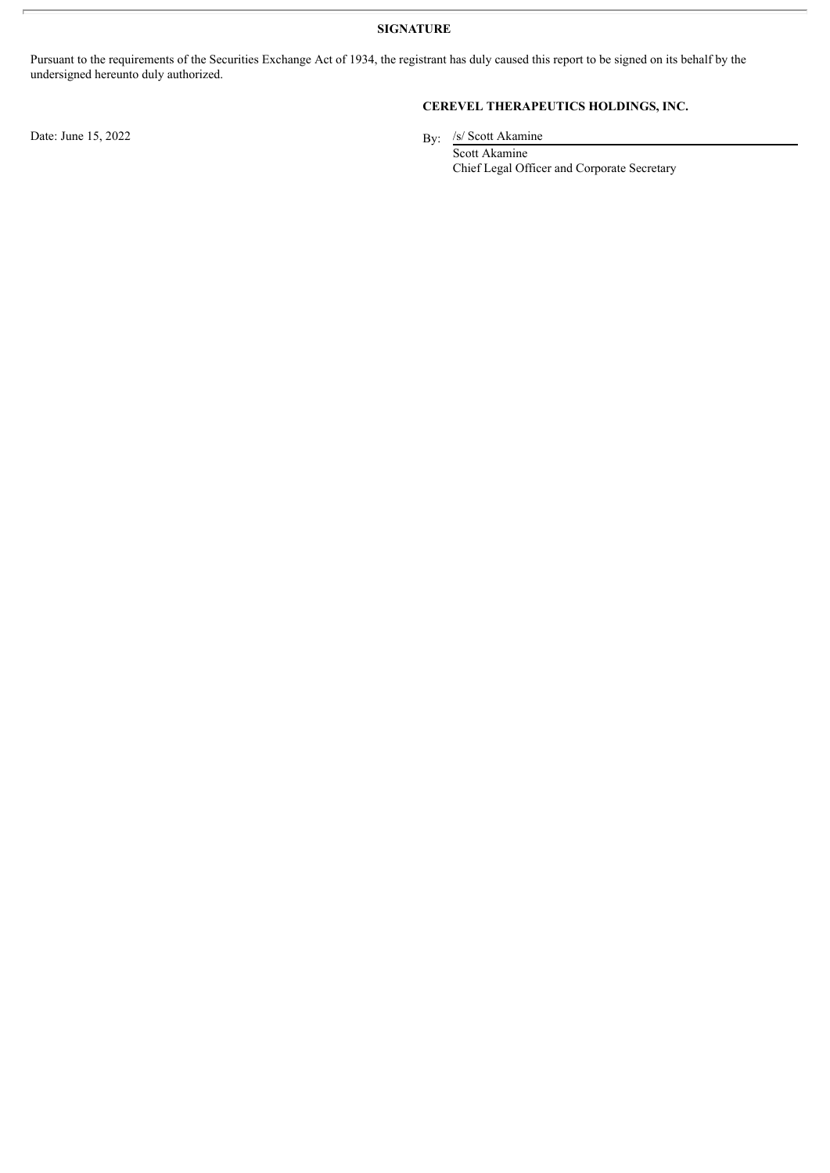**SIGNATURE**

Pursuant to the requirements of the Securities Exchange Act of 1934, the registrant has duly caused this report to be signed on its behalf by the undersigned hereunto duly authorized.

Date: June 15, 2022

### **CEREVEL THERAPEUTICS HOLDINGS, INC.**

By: /s/ Scott Akamine

Scott Akamine Chief Legal Officer and Corporate Secretary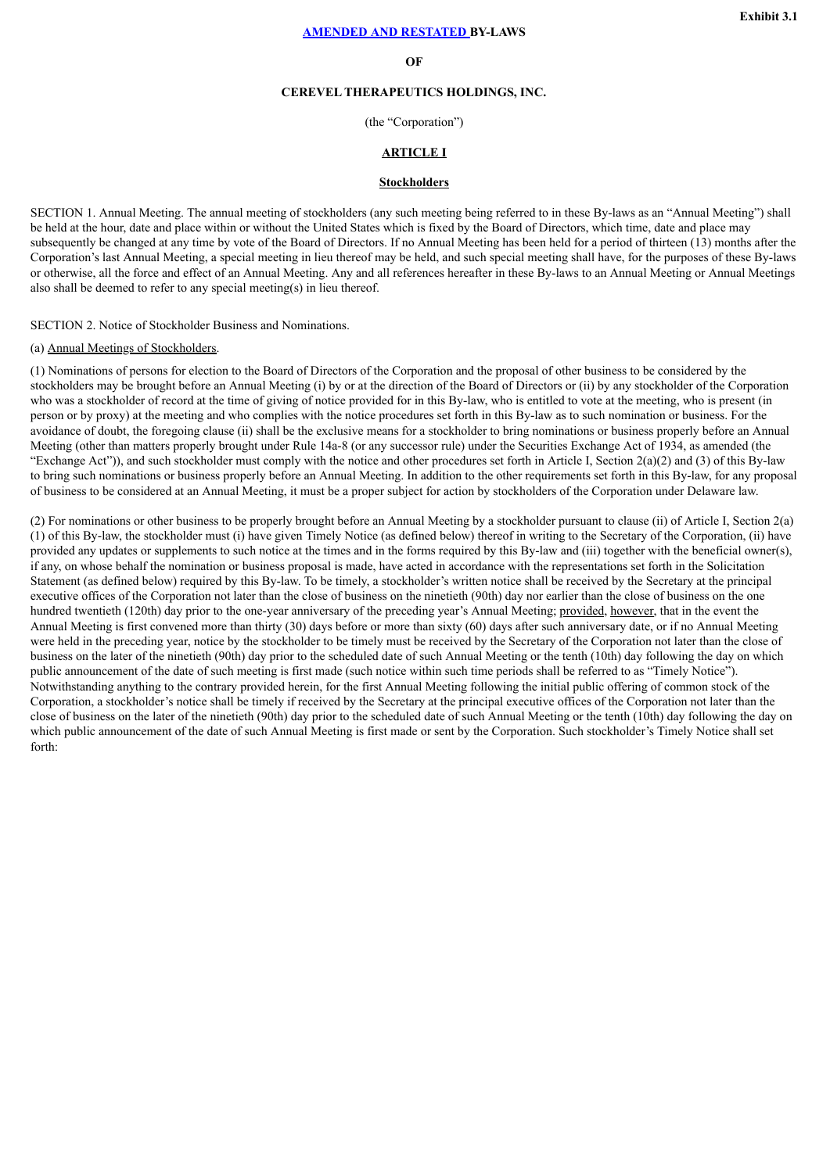#### **OF**

#### **CEREVEL THERAPEUTICS HOLDINGS, INC.**

(the "Corporation")

#### **ARTICLE I**

#### **Stockholders**

<span id="page-5-0"></span>SECTION 1. Annual Meeting. The annual meeting of stockholders (any such meeting being referred to in these By-laws as an "Annual Meeting") shall be held at the hour, date and place within or without the United States which is fixed by the Board of Directors, which time, date and place may subsequently be changed at any time by vote of the Board of Directors. If no Annual Meeting has been held for a period of thirteen (13) months after the Corporation's last Annual Meeting, a special meeting in lieu thereof may be held, and such special meeting shall have, for the purposes of these By-laws or otherwise, all the force and effect of an Annual Meeting. Any and all references hereafter in these By-laws to an Annual Meeting or Annual Meetings also shall be deemed to refer to any special meeting(s) in lieu thereof.

SECTION 2. Notice of Stockholder Business and Nominations.

#### (a) Annual Meetings of Stockholders.

(1) Nominations of persons for election to the Board of Directors of the Corporation and the proposal of other business to be considered by the stockholders may be brought before an Annual Meeting (i) by or at the direction of the Board of Directors or (ii) by any stockholder of the Corporation who was a stockholder of record at the time of giving of notice provided for in this By-law, who is entitled to vote at the meeting, who is present (in person or by proxy) at the meeting and who complies with the notice procedures set forth in this By-law as to such nomination or business. For the avoidance of doubt, the foregoing clause (ii) shall be the exclusive means for a stockholder to bring nominations or business properly before an Annual Meeting (other than matters properly brought under Rule 14a-8 (or any successor rule) under the Securities Exchange Act of 1934, as amended (the "Exchange Act")), and such stockholder must comply with the notice and other procedures set forth in Article I, Section  $2(a)(2)$  and (3) of this By-law to bring such nominations or business properly before an Annual Meeting. In addition to the other requirements set forth in this By-law, for any proposal of business to be considered at an Annual Meeting, it must be a proper subject for action by stockholders of the Corporation under Delaware law.

(2) For nominations or other business to be properly brought before an Annual Meeting by a stockholder pursuant to clause (ii) of Article I, Section 2(a) (1) of this By-law, the stockholder must (i) have given Timely Notice (as defined below) thereof in writing to the Secretary of the Corporation, (ii) have provided any updates or supplements to such notice at the times and in the forms required by this By-law and (iii) together with the beneficial owner(s), if any, on whose behalf the nomination or business proposal is made, have acted in accordance with the representations set forth in the Solicitation Statement (as defined below) required by this By-law. To be timely, a stockholder's written notice shall be received by the Secretary at the principal executive offices of the Corporation not later than the close of business on the ninetieth (90th) day nor earlier than the close of business on the one hundred twentieth (120th) day prior to the one-year anniversary of the preceding year's Annual Meeting; provided, however, that in the event the Annual Meeting is first convened more than thirty (30) days before or more than sixty (60) days after such anniversary date, or if no Annual Meeting were held in the preceding year, notice by the stockholder to be timely must be received by the Secretary of the Corporation not later than the close of business on the later of the ninetieth (90th) day prior to the scheduled date of such Annual Meeting or the tenth (10th) day following the day on which public announcement of the date of such meeting is first made (such notice within such time periods shall be referred to as "Timely Notice"). Notwithstanding anything to the contrary provided herein, for the first Annual Meeting following the initial public offering of common stock of the Corporation, a stockholder's notice shall be timely if received by the Secretary at the principal executive offices of the Corporation not later than the close of business on the later of the ninetieth (90th) day prior to the scheduled date of such Annual Meeting or the tenth (10th) day following the day on which public announcement of the date of such Annual Meeting is first made or sent by the Corporation. Such stockholder's Timely Notice shall set forth: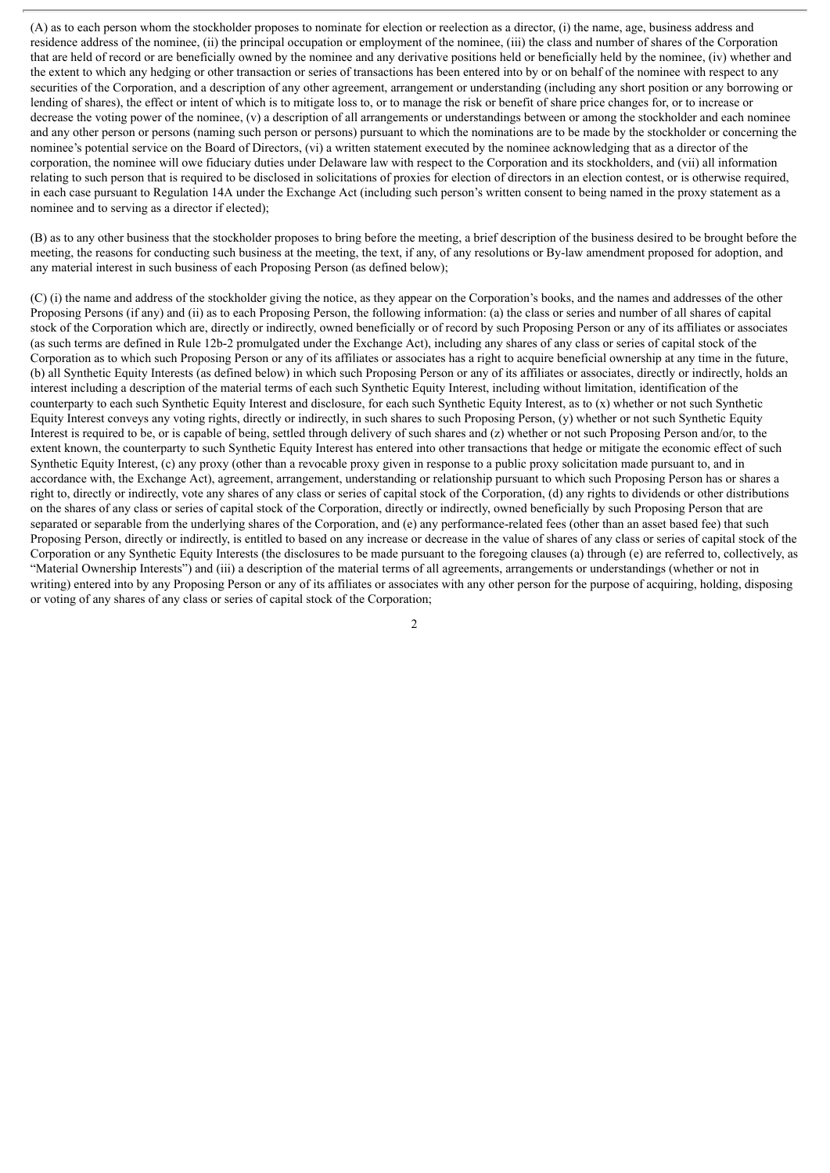(A) as to each person whom the stockholder proposes to nominate for election or reelection as a director, (i) the name, age, business address and residence address of the nominee, (ii) the principal occupation or employment of the nominee, (iii) the class and number of shares of the Corporation that are held of record or are beneficially owned by the nominee and any derivative positions held or beneficially held by the nominee, (iv) whether and the extent to which any hedging or other transaction or series of transactions has been entered into by or on behalf of the nominee with respect to any securities of the Corporation, and a description of any other agreement, arrangement or understanding (including any short position or any borrowing or lending of shares), the effect or intent of which is to mitigate loss to, or to manage the risk or benefit of share price changes for, or to increase or decrease the voting power of the nominee, (v) a description of all arrangements or understandings between or among the stockholder and each nominee and any other person or persons (naming such person or persons) pursuant to which the nominations are to be made by the stockholder or concerning the nominee's potential service on the Board of Directors, (vi) a written statement executed by the nominee acknowledging that as a director of the corporation, the nominee will owe fiduciary duties under Delaware law with respect to the Corporation and its stockholders, and (vii) all information relating to such person that is required to be disclosed in solicitations of proxies for election of directors in an election contest, or is otherwise required, in each case pursuant to Regulation 14A under the Exchange Act (including such person's written consent to being named in the proxy statement as a nominee and to serving as a director if elected);

(B) as to any other business that the stockholder proposes to bring before the meeting, a brief description of the business desired to be brought before the meeting, the reasons for conducting such business at the meeting, the text, if any, of any resolutions or By-law amendment proposed for adoption, and any material interest in such business of each Proposing Person (as defined below);

(C) (i) the name and address of the stockholder giving the notice, as they appear on the Corporation's books, and the names and addresses of the other Proposing Persons (if any) and (ii) as to each Proposing Person, the following information: (a) the class or series and number of all shares of capital stock of the Corporation which are, directly or indirectly, owned beneficially or of record by such Proposing Person or any of its affiliates or associates (as such terms are defined in Rule 12b-2 promulgated under the Exchange Act), including any shares of any class or series of capital stock of the Corporation as to which such Proposing Person or any of its affiliates or associates has a right to acquire beneficial ownership at any time in the future, (b) all Synthetic Equity Interests (as defined below) in which such Proposing Person or any of its affiliates or associates, directly or indirectly, holds an interest including a description of the material terms of each such Synthetic Equity Interest, including without limitation, identification of the counterparty to each such Synthetic Equity Interest and disclosure, for each such Synthetic Equity Interest, as to (x) whether or not such Synthetic Equity Interest conveys any voting rights, directly or indirectly, in such shares to such Proposing Person, (y) whether or not such Synthetic Equity Interest is required to be, or is capable of being, settled through delivery of such shares and (z) whether or not such Proposing Person and/or, to the extent known, the counterparty to such Synthetic Equity Interest has entered into other transactions that hedge or mitigate the economic effect of such Synthetic Equity Interest, (c) any proxy (other than a revocable proxy given in response to a public proxy solicitation made pursuant to, and in accordance with, the Exchange Act), agreement, arrangement, understanding or relationship pursuant to which such Proposing Person has or shares a right to, directly or indirectly, vote any shares of any class or series of capital stock of the Corporation, (d) any rights to dividends or other distributions on the shares of any class or series of capital stock of the Corporation, directly or indirectly, owned beneficially by such Proposing Person that are separated or separable from the underlying shares of the Corporation, and (e) any performance-related fees (other than an asset based fee) that such Proposing Person, directly or indirectly, is entitled to based on any increase or decrease in the value of shares of any class or series of capital stock of the Corporation or any Synthetic Equity Interests (the disclosures to be made pursuant to the foregoing clauses (a) through (e) are referred to, collectively, as "Material Ownership Interests") and (iii) a description of the material terms of all agreements, arrangements or understandings (whether or not in writing) entered into by any Proposing Person or any of its affiliates or associates with any other person for the purpose of acquiring, holding, disposing or voting of any shares of any class or series of capital stock of the Corporation;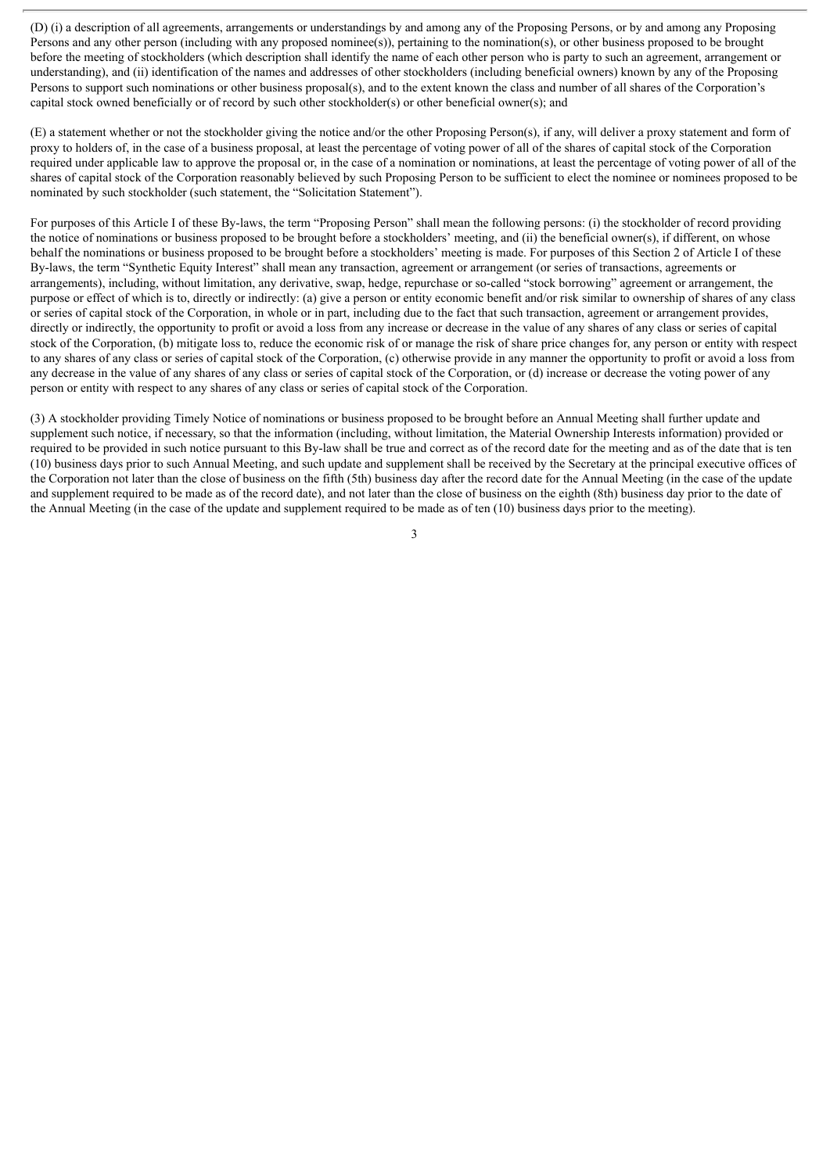(D) (i) a description of all agreements, arrangements or understandings by and among any of the Proposing Persons, or by and among any Proposing Persons and any other person (including with any proposed nominee(s)), pertaining to the nomination(s), or other business proposed to be brought before the meeting of stockholders (which description shall identify the name of each other person who is party to such an agreement, arrangement or understanding), and (ii) identification of the names and addresses of other stockholders (including beneficial owners) known by any of the Proposing Persons to support such nominations or other business proposal(s), and to the extent known the class and number of all shares of the Corporation's capital stock owned beneficially or of record by such other stockholder(s) or other beneficial owner(s); and

(E) a statement whether or not the stockholder giving the notice and/or the other Proposing Person(s), if any, will deliver a proxy statement and form of proxy to holders of, in the case of a business proposal, at least the percentage of voting power of all of the shares of capital stock of the Corporation required under applicable law to approve the proposal or, in the case of a nomination or nominations, at least the percentage of voting power of all of the shares of capital stock of the Corporation reasonably believed by such Proposing Person to be sufficient to elect the nominee or nominees proposed to be nominated by such stockholder (such statement, the "Solicitation Statement").

For purposes of this Article I of these By-laws, the term "Proposing Person" shall mean the following persons: (i) the stockholder of record providing the notice of nominations or business proposed to be brought before a stockholders' meeting, and (ii) the beneficial owner(s), if different, on whose behalf the nominations or business proposed to be brought before a stockholders' meeting is made. For purposes of this Section 2 of Article I of these By-laws, the term "Synthetic Equity Interest" shall mean any transaction, agreement or arrangement (or series of transactions, agreements or arrangements), including, without limitation, any derivative, swap, hedge, repurchase or so-called "stock borrowing" agreement or arrangement, the purpose or effect of which is to, directly or indirectly: (a) give a person or entity economic benefit and/or risk similar to ownership of shares of any class or series of capital stock of the Corporation, in whole or in part, including due to the fact that such transaction, agreement or arrangement provides, directly or indirectly, the opportunity to profit or avoid a loss from any increase or decrease in the value of any shares of any class or series of capital stock of the Corporation, (b) mitigate loss to, reduce the economic risk of or manage the risk of share price changes for, any person or entity with respect to any shares of any class or series of capital stock of the Corporation, (c) otherwise provide in any manner the opportunity to profit or avoid a loss from any decrease in the value of any shares of any class or series of capital stock of the Corporation, or (d) increase or decrease the voting power of any person or entity with respect to any shares of any class or series of capital stock of the Corporation.

(3) A stockholder providing Timely Notice of nominations or business proposed to be brought before an Annual Meeting shall further update and supplement such notice, if necessary, so that the information (including, without limitation, the Material Ownership Interests information) provided or required to be provided in such notice pursuant to this By-law shall be true and correct as of the record date for the meeting and as of the date that is ten (10) business days prior to such Annual Meeting, and such update and supplement shall be received by the Secretary at the principal executive offices of the Corporation not later than the close of business on the fifth (5th) business day after the record date for the Annual Meeting (in the case of the update and supplement required to be made as of the record date), and not later than the close of business on the eighth (8th) business day prior to the date of the Annual Meeting (in the case of the update and supplement required to be made as of ten (10) business days prior to the meeting).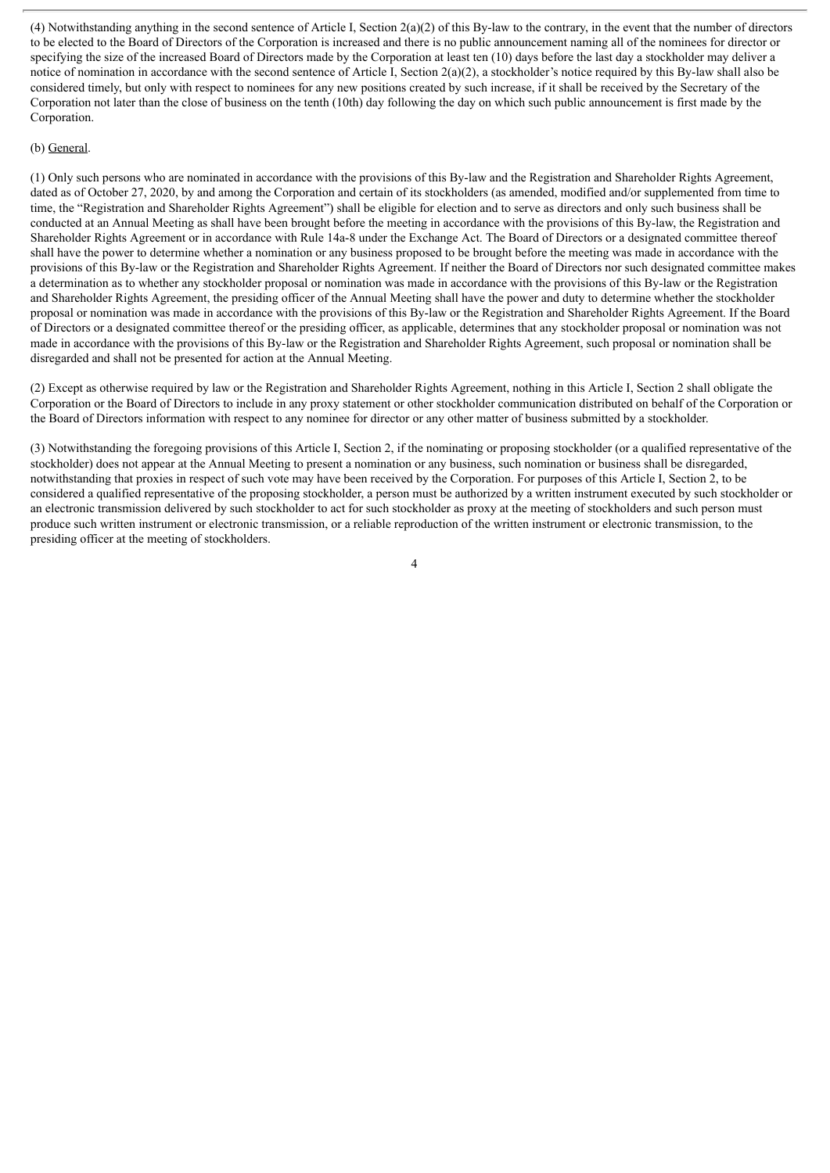(4) Notwithstanding anything in the second sentence of Article I, Section  $2(a)(2)$  of this By-law to the contrary, in the event that the number of directors to be elected to the Board of Directors of the Corporation is increased and there is no public announcement naming all of the nominees for director or specifying the size of the increased Board of Directors made by the Corporation at least ten (10) days before the last day a stockholder may deliver a notice of nomination in accordance with the second sentence of Article I, Section 2(a)(2), a stockholder's notice required by this By-law shall also be considered timely, but only with respect to nominees for any new positions created by such increase, if it shall be received by the Secretary of the Corporation not later than the close of business on the tenth (10th) day following the day on which such public announcement is first made by the Corporation.

#### (b) General.

(1) Only such persons who are nominated in accordance with the provisions of this By-law and the Registration and Shareholder Rights Agreement, dated as of October 27, 2020, by and among the Corporation and certain of its stockholders (as amended, modified and/or supplemented from time to time, the "Registration and Shareholder Rights Agreement") shall be eligible for election and to serve as directors and only such business shall be conducted at an Annual Meeting as shall have been brought before the meeting in accordance with the provisions of this By-law, the Registration and Shareholder Rights Agreement or in accordance with Rule 14a-8 under the Exchange Act. The Board of Directors or a designated committee thereof shall have the power to determine whether a nomination or any business proposed to be brought before the meeting was made in accordance with the provisions of this By-law or the Registration and Shareholder Rights Agreement. If neither the Board of Directors nor such designated committee makes a determination as to whether any stockholder proposal or nomination was made in accordance with the provisions of this By-law or the Registration and Shareholder Rights Agreement, the presiding officer of the Annual Meeting shall have the power and duty to determine whether the stockholder proposal or nomination was made in accordance with the provisions of this By-law or the Registration and Shareholder Rights Agreement. If the Board of Directors or a designated committee thereof or the presiding officer, as applicable, determines that any stockholder proposal or nomination was not made in accordance with the provisions of this By-law or the Registration and Shareholder Rights Agreement, such proposal or nomination shall be disregarded and shall not be presented for action at the Annual Meeting.

(2) Except as otherwise required by law or the Registration and Shareholder Rights Agreement, nothing in this Article I, Section 2 shall obligate the Corporation or the Board of Directors to include in any proxy statement or other stockholder communication distributed on behalf of the Corporation or the Board of Directors information with respect to any nominee for director or any other matter of business submitted by a stockholder.

(3) Notwithstanding the foregoing provisions of this Article I, Section 2, if the nominating or proposing stockholder (or a qualified representative of the stockholder) does not appear at the Annual Meeting to present a nomination or any business, such nomination or business shall be disregarded, notwithstanding that proxies in respect of such vote may have been received by the Corporation. For purposes of this Article I, Section 2, to be considered a qualified representative of the proposing stockholder, a person must be authorized by a written instrument executed by such stockholder or an electronic transmission delivered by such stockholder to act for such stockholder as proxy at the meeting of stockholders and such person must produce such written instrument or electronic transmission, or a reliable reproduction of the written instrument or electronic transmission, to the presiding officer at the meeting of stockholders.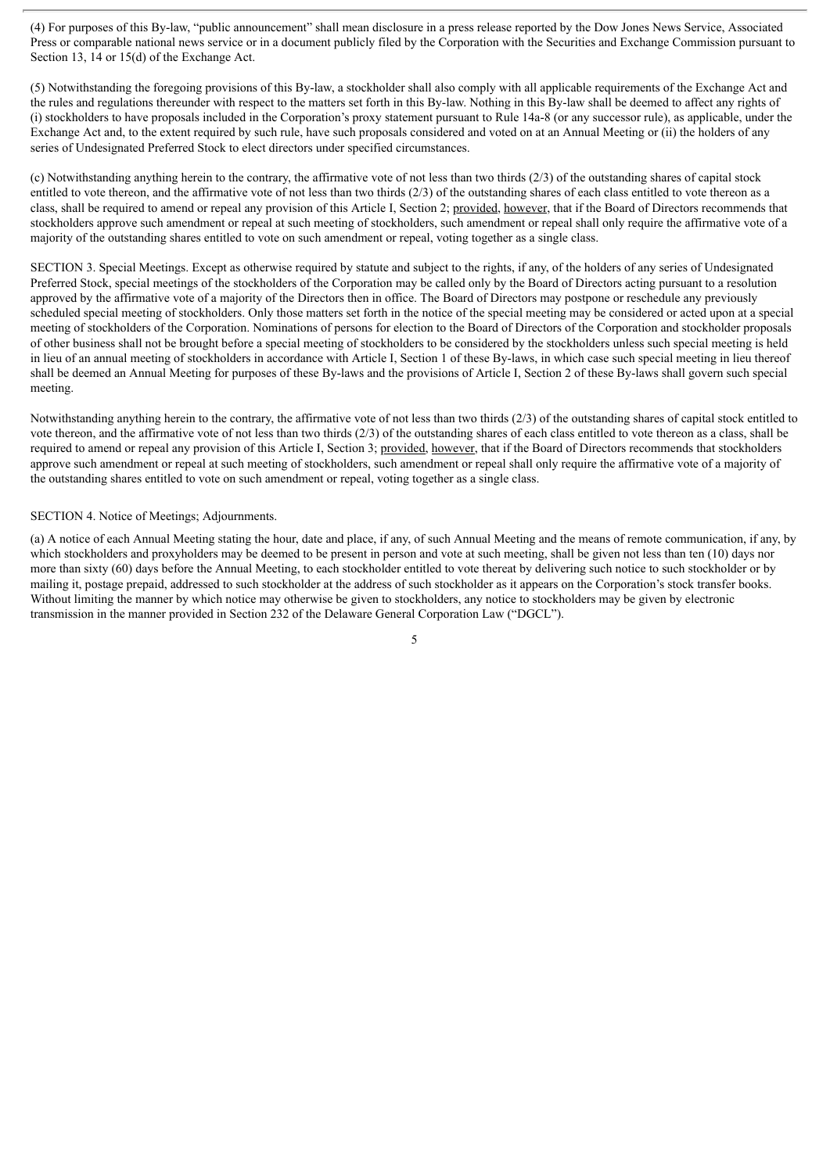(4) For purposes of this By-law, "public announcement" shall mean disclosure in a press release reported by the Dow Jones News Service, Associated Press or comparable national news service or in a document publicly filed by the Corporation with the Securities and Exchange Commission pursuant to Section 13, 14 or 15(d) of the Exchange Act.

(5) Notwithstanding the foregoing provisions of this By-law, a stockholder shall also comply with all applicable requirements of the Exchange Act and the rules and regulations thereunder with respect to the matters set forth in this By-law. Nothing in this By-law shall be deemed to affect any rights of (i) stockholders to have proposals included in the Corporation's proxy statement pursuant to Rule 14a-8 (or any successor rule), as applicable, under the Exchange Act and, to the extent required by such rule, have such proposals considered and voted on at an Annual Meeting or (ii) the holders of any series of Undesignated Preferred Stock to elect directors under specified circumstances.

(c) Notwithstanding anything herein to the contrary, the affirmative vote of not less than two thirds  $(2/3)$  of the outstanding shares of capital stock entitled to vote thereon, and the affirmative vote of not less than two thirds (2/3) of the outstanding shares of each class entitled to vote thereon as a class, shall be required to amend or repeal any provision of this Article I, Section 2; provided, however, that if the Board of Directors recommends that stockholders approve such amendment or repeal at such meeting of stockholders, such amendment or repeal shall only require the affirmative vote of a majority of the outstanding shares entitled to vote on such amendment or repeal, voting together as a single class.

SECTION 3. Special Meetings. Except as otherwise required by statute and subject to the rights, if any, of the holders of any series of Undesignated Preferred Stock, special meetings of the stockholders of the Corporation may be called only by the Board of Directors acting pursuant to a resolution approved by the affirmative vote of a majority of the Directors then in office. The Board of Directors may postpone or reschedule any previously scheduled special meeting of stockholders. Only those matters set forth in the notice of the special meeting may be considered or acted upon at a special meeting of stockholders of the Corporation. Nominations of persons for election to the Board of Directors of the Corporation and stockholder proposals of other business shall not be brought before a special meeting of stockholders to be considered by the stockholders unless such special meeting is held in lieu of an annual meeting of stockholders in accordance with Article I, Section 1 of these By-laws, in which case such special meeting in lieu thereof shall be deemed an Annual Meeting for purposes of these By-laws and the provisions of Article I, Section 2 of these By-laws shall govern such special meeting.

Notwithstanding anything herein to the contrary, the affirmative vote of not less than two thirds (2/3) of the outstanding shares of capital stock entitled to vote thereon, and the affirmative vote of not less than two thirds (2/3) of the outstanding shares of each class entitled to vote thereon as a class, shall be required to amend or repeal any provision of this Article I, Section 3; provided, however, that if the Board of Directors recommends that stockholders approve such amendment or repeal at such meeting of stockholders, such amendment or repeal shall only require the affirmative vote of a majority of the outstanding shares entitled to vote on such amendment or repeal, voting together as a single class.

#### SECTION 4. Notice of Meetings; Adjournments.

(a) A notice of each Annual Meeting stating the hour, date and place, if any, of such Annual Meeting and the means of remote communication, if any, by which stockholders and proxyholders may be deemed to be present in person and vote at such meeting, shall be given not less than ten (10) days nor more than sixty (60) days before the Annual Meeting, to each stockholder entitled to vote thereat by delivering such notice to such stockholder or by mailing it, postage prepaid, addressed to such stockholder at the address of such stockholder as it appears on the Corporation's stock transfer books. Without limiting the manner by which notice may otherwise be given to stockholders, any notice to stockholders may be given by electronic transmission in the manner provided in Section 232 of the Delaware General Corporation Law ("DGCL").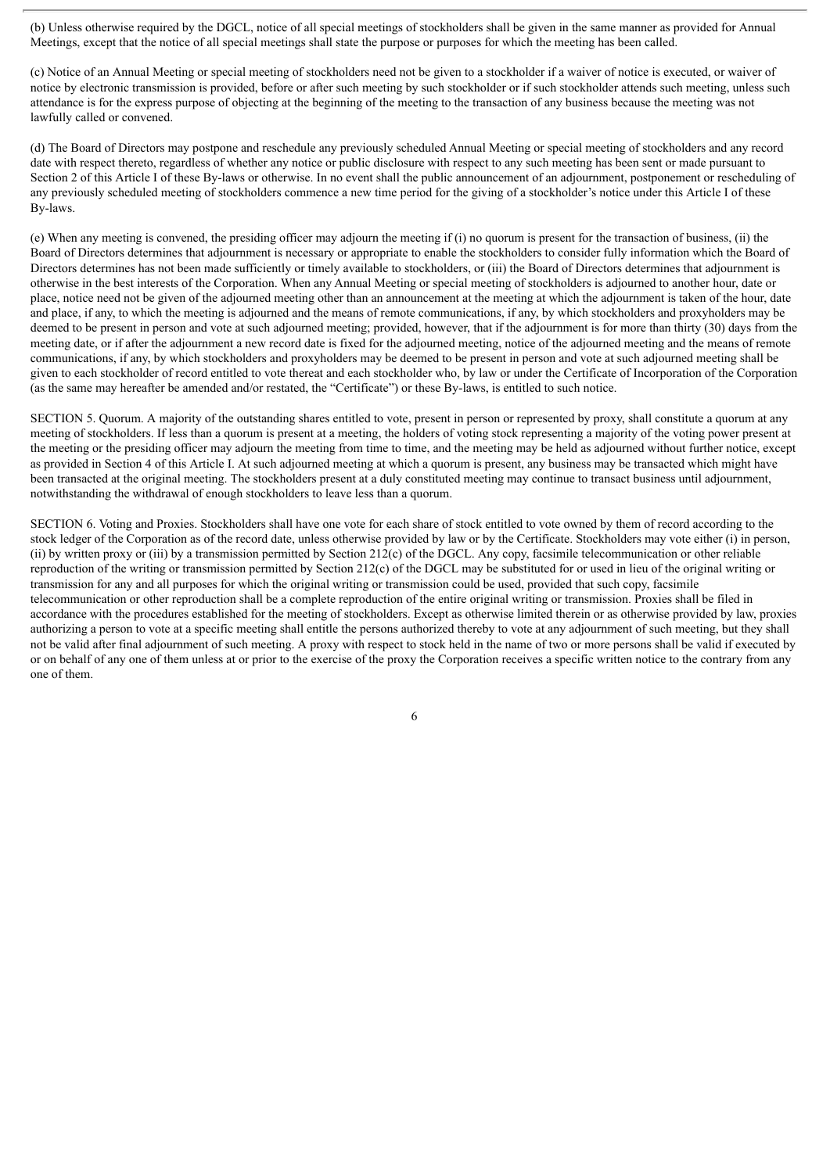(b) Unless otherwise required by the DGCL, notice of all special meetings of stockholders shall be given in the same manner as provided for Annual Meetings, except that the notice of all special meetings shall state the purpose or purposes for which the meeting has been called.

(c) Notice of an Annual Meeting or special meeting of stockholders need not be given to a stockholder if a waiver of notice is executed, or waiver of notice by electronic transmission is provided, before or after such meeting by such stockholder or if such stockholder attends such meeting, unless such attendance is for the express purpose of objecting at the beginning of the meeting to the transaction of any business because the meeting was not lawfully called or convened.

(d) The Board of Directors may postpone and reschedule any previously scheduled Annual Meeting or special meeting of stockholders and any record date with respect thereto, regardless of whether any notice or public disclosure with respect to any such meeting has been sent or made pursuant to Section 2 of this Article I of these By-laws or otherwise. In no event shall the public announcement of an adjournment, postponement or rescheduling of any previously scheduled meeting of stockholders commence a new time period for the giving of a stockholder's notice under this Article I of these By-laws.

(e) When any meeting is convened, the presiding officer may adjourn the meeting if (i) no quorum is present for the transaction of business, (ii) the Board of Directors determines that adjournment is necessary or appropriate to enable the stockholders to consider fully information which the Board of Directors determines has not been made sufficiently or timely available to stockholders, or (iii) the Board of Directors determines that adjournment is otherwise in the best interests of the Corporation. When any Annual Meeting or special meeting of stockholders is adjourned to another hour, date or place, notice need not be given of the adjourned meeting other than an announcement at the meeting at which the adjournment is taken of the hour, date and place, if any, to which the meeting is adjourned and the means of remote communications, if any, by which stockholders and proxyholders may be deemed to be present in person and vote at such adjourned meeting; provided, however, that if the adjournment is for more than thirty (30) days from the meeting date, or if after the adjournment a new record date is fixed for the adjourned meeting, notice of the adjourned meeting and the means of remote communications, if any, by which stockholders and proxyholders may be deemed to be present in person and vote at such adjourned meeting shall be given to each stockholder of record entitled to vote thereat and each stockholder who, by law or under the Certificate of Incorporation of the Corporation (as the same may hereafter be amended and/or restated, the "Certificate") or these By-laws, is entitled to such notice.

SECTION 5. Quorum. A majority of the outstanding shares entitled to vote, present in person or represented by proxy, shall constitute a quorum at any meeting of stockholders. If less than a quorum is present at a meeting, the holders of voting stock representing a majority of the voting power present at the meeting or the presiding officer may adjourn the meeting from time to time, and the meeting may be held as adjourned without further notice, except as provided in Section 4 of this Article I. At such adjourned meeting at which a quorum is present, any business may be transacted which might have been transacted at the original meeting. The stockholders present at a duly constituted meeting may continue to transact business until adjournment, notwithstanding the withdrawal of enough stockholders to leave less than a quorum.

SECTION 6. Voting and Proxies. Stockholders shall have one vote for each share of stock entitled to vote owned by them of record according to the stock ledger of the Corporation as of the record date, unless otherwise provided by law or by the Certificate. Stockholders may vote either (i) in person, (ii) by written proxy or (iii) by a transmission permitted by Section 212(c) of the DGCL. Any copy, facsimile telecommunication or other reliable reproduction of the writing or transmission permitted by Section 212(c) of the DGCL may be substituted for or used in lieu of the original writing or transmission for any and all purposes for which the original writing or transmission could be used, provided that such copy, facsimile telecommunication or other reproduction shall be a complete reproduction of the entire original writing or transmission. Proxies shall be filed in accordance with the procedures established for the meeting of stockholders. Except as otherwise limited therein or as otherwise provided by law, proxies authorizing a person to vote at a specific meeting shall entitle the persons authorized thereby to vote at any adjournment of such meeting, but they shall not be valid after final adjournment of such meeting. A proxy with respect to stock held in the name of two or more persons shall be valid if executed by or on behalf of any one of them unless at or prior to the exercise of the proxy the Corporation receives a specific written notice to the contrary from any one of them.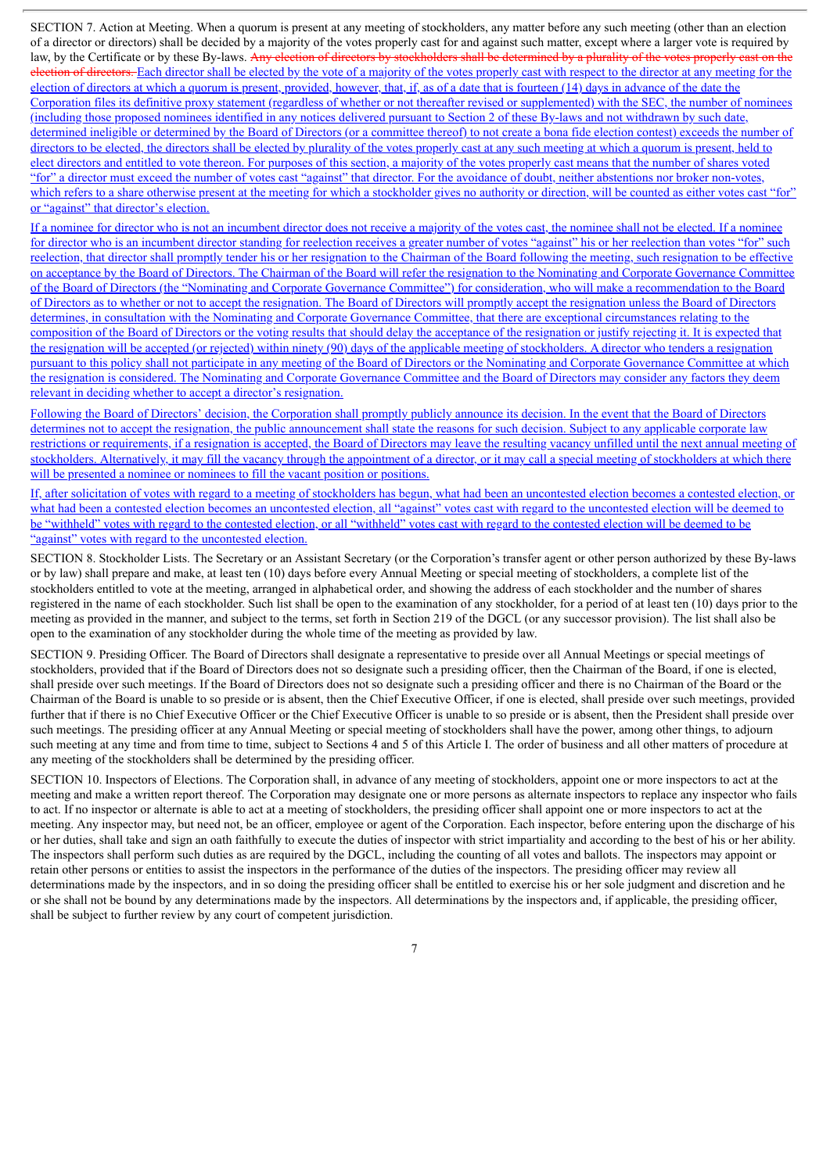SECTION 7. Action at Meeting. When a quorum is present at any meeting of stockholders, any matter before any such meeting (other than an election of a director or directors) shall be decided by a majority of the votes properly cast for and against such matter, except where a larger vote is required by law, by the Certificate or by these By-laws. Any election of directors by stockholders shall be determined by a plurality of the votes properly cast on the election of directors. Each director shall be elected by the vote of a majority of the votes properly cast with respect to the director at any meeting for the election of directors at which a quorum is present, provided, however, that, if, as of a date that is fourteen (14) days in advance of the date the Corporation files its definitive proxy statement (regardless of whether or not thereafter revised or supplemented) with the SEC, the number of nominees (including those proposed nominees identified in any notices delivered pursuant to Section 2 of these By-laws and not withdrawn by such date, determined ineligible or determined by the Board of Directors (or a committee thereof) to not create a bona fide election contest) exceeds the number of directors to be elected, the directors shall be elected by plurality of the votes properly cast at any such meeting at which a quorum is present, held to elect directors and entitled to vote thereon. For purposes of this section, a majority of the votes properly cast means that the number of shares voted "for" a director must exceed the number of votes cast "against" that director. For the avoidance of doubt, neither abstentions nor broker non-votes, which refers to a share otherwise present at the meeting for which a stockholder gives no authority or direction, will be counted as either votes cast "for" or "against" that director's election.

If a nominee for director who is not an incumbent director does not receive a majority of the votes cast, the nominee shall not be elected. If a nominee for director who is an incumbent director standing for reelection receives a greater number of votes "against" his or her reelection than votes "for" such reelection, that director shall promptly tender his or her resignation to the Chairman of the Board following the meeting, such resignation to be effective on acceptance by the Board of Directors. The Chairman of the Board will refer the resignation to the Nominating and Corporate Governance Committee of the Board of Directors (the "Nominating and Corporate Governance Committee") for consideration, who will make a recommendation to the Board of Directors as to whether or not to accept the resignation. The Board of Directors will promptly accept the resignation unless the Board of Directors determines, in consultation with the Nominating and Corporate Governance Committee, that there are exceptional circumstances relating to the composition of the Board of Directors or the voting results that should delay the acceptance of the resignation or justify rejecting it. It is expected that the resignation will be accepted (or rejected) within ninety (90) days of the applicable meeting of stockholders. A director who tenders a resignation pursuant to this policy shall not participate in any meeting of the Board of Directors or the Nominating and Corporate Governance Committee at which the resignation is considered. The Nominating and Corporate Governance Committee and the Board of Directors may consider any factors they deem relevant in deciding whether to accept a director's resignation.

Following the Board of Directors' decision, the Corporation shall promptly publicly announce its decision. In the event that the Board of Directors determines not to accept the resignation, the public announcement shall state the reasons for such decision. Subject to any applicable corporate law restrictions or requirements, if a resignation is accepted, the Board of Directors may leave the resulting vacancy unfilled until the next annual meeting of stockholders. Alternatively, it may fill the vacancy through the appointment of a director, or it may call a special meeting of stockholders at which there will be presented a nominee or nominees to fill the vacant position or positions.

If, after solicitation of votes with regard to a meeting of stockholders has begun, what had been an uncontested election becomes a contested election, or what had been a contested election becomes an uncontested election, all "against" votes cast with regard to the uncontested election will be deemed to be "withheld" votes with regard to the contested election, or all "withheld" votes cast with regard to the contested election will be deemed to be "against" votes with regard to the uncontested election.

SECTION 8. Stockholder Lists. The Secretary or an Assistant Secretary (or the Corporation's transfer agent or other person authorized by these By-laws or by law) shall prepare and make, at least ten (10) days before every Annual Meeting or special meeting of stockholders, a complete list of the stockholders entitled to vote at the meeting, arranged in alphabetical order, and showing the address of each stockholder and the number of shares registered in the name of each stockholder. Such list shall be open to the examination of any stockholder, for a period of at least ten (10) days prior to the meeting as provided in the manner, and subject to the terms, set forth in Section 219 of the DGCL (or any successor provision). The list shall also be open to the examination of any stockholder during the whole time of the meeting as provided by law.

SECTION 9. Presiding Officer. The Board of Directors shall designate a representative to preside over all Annual Meetings or special meetings of stockholders, provided that if the Board of Directors does not so designate such a presiding officer, then the Chairman of the Board, if one is elected, shall preside over such meetings. If the Board of Directors does not so designate such a presiding officer and there is no Chairman of the Board or the Chairman of the Board is unable to so preside or is absent, then the Chief Executive Officer, if one is elected, shall preside over such meetings, provided further that if there is no Chief Executive Officer or the Chief Executive Officer is unable to so preside or is absent, then the President shall preside over such meetings. The presiding officer at any Annual Meeting or special meeting of stockholders shall have the power, among other things, to adjourn such meeting at any time and from time to time, subject to Sections 4 and 5 of this Article I. The order of business and all other matters of procedure at any meeting of the stockholders shall be determined by the presiding officer.

SECTION 10. Inspectors of Elections. The Corporation shall, in advance of any meeting of stockholders, appoint one or more inspectors to act at the meeting and make a written report thereof. The Corporation may designate one or more persons as alternate inspectors to replace any inspector who fails to act. If no inspector or alternate is able to act at a meeting of stockholders, the presiding officer shall appoint one or more inspectors to act at the meeting. Any inspector may, but need not, be an officer, employee or agent of the Corporation. Each inspector, before entering upon the discharge of his or her duties, shall take and sign an oath faithfully to execute the duties of inspector with strict impartiality and according to the best of his or her ability. The inspectors shall perform such duties as are required by the DGCL, including the counting of all votes and ballots. The inspectors may appoint or retain other persons or entities to assist the inspectors in the performance of the duties of the inspectors. The presiding officer may review all determinations made by the inspectors, and in so doing the presiding officer shall be entitled to exercise his or her sole judgment and discretion and he or she shall not be bound by any determinations made by the inspectors. All determinations by the inspectors and, if applicable, the presiding officer, shall be subject to further review by any court of competent jurisdiction.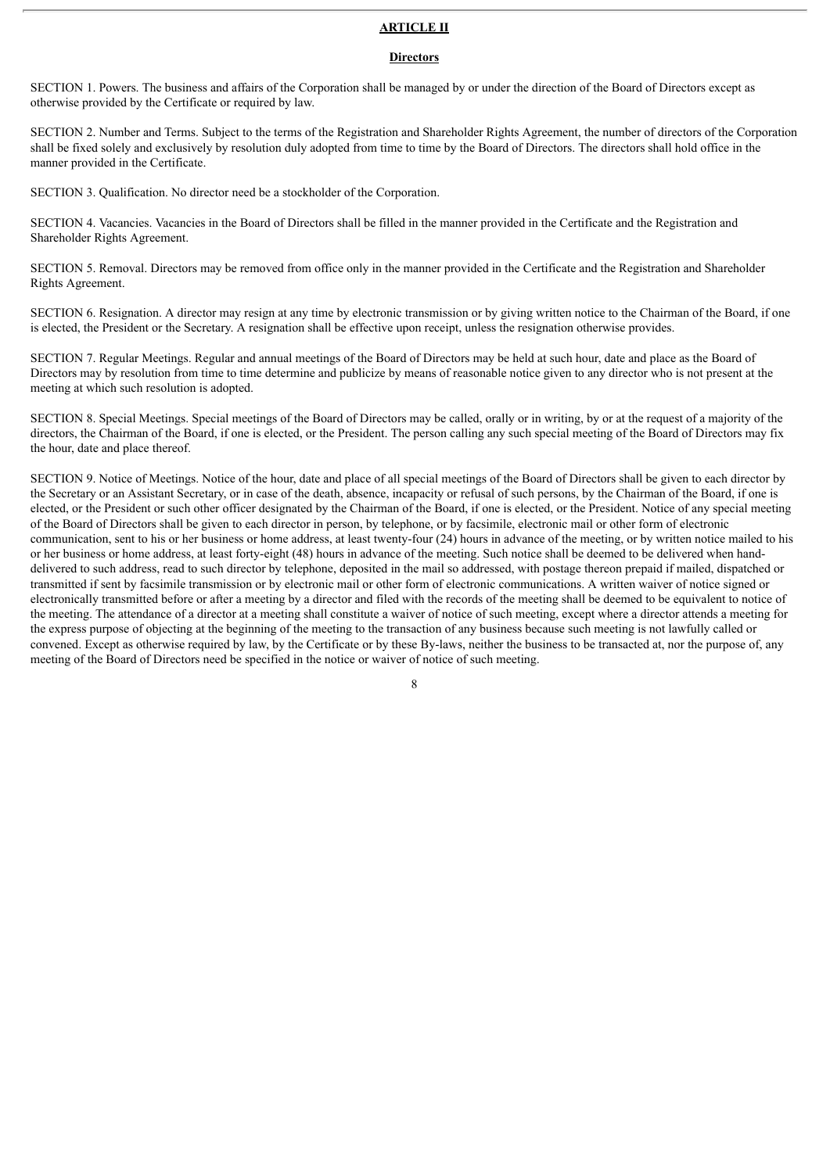#### **ARTICLE II**

#### **Directors**

SECTION 1. Powers. The business and affairs of the Corporation shall be managed by or under the direction of the Board of Directors except as otherwise provided by the Certificate or required by law.

SECTION 2. Number and Terms. Subject to the terms of the Registration and Shareholder Rights Agreement, the number of directors of the Corporation shall be fixed solely and exclusively by resolution duly adopted from time to time by the Board of Directors. The directors shall hold office in the manner provided in the Certificate.

SECTION 3. Qualification. No director need be a stockholder of the Corporation.

SECTION 4. Vacancies. Vacancies in the Board of Directors shall be filled in the manner provided in the Certificate and the Registration and Shareholder Rights Agreement.

SECTION 5. Removal. Directors may be removed from office only in the manner provided in the Certificate and the Registration and Shareholder Rights Agreement.

SECTION 6. Resignation. A director may resign at any time by electronic transmission or by giving written notice to the Chairman of the Board, if one is elected, the President or the Secretary. A resignation shall be effective upon receipt, unless the resignation otherwise provides.

SECTION 7. Regular Meetings. Regular and annual meetings of the Board of Directors may be held at such hour, date and place as the Board of Directors may by resolution from time to time determine and publicize by means of reasonable notice given to any director who is not present at the meeting at which such resolution is adopted.

SECTION 8. Special Meetings. Special meetings of the Board of Directors may be called, orally or in writing, by or at the request of a majority of the directors, the Chairman of the Board, if one is elected, or the President. The person calling any such special meeting of the Board of Directors may fix the hour, date and place thereof.

SECTION 9. Notice of Meetings. Notice of the hour, date and place of all special meetings of the Board of Directors shall be given to each director by the Secretary or an Assistant Secretary, or in case of the death, absence, incapacity or refusal of such persons, by the Chairman of the Board, if one is elected, or the President or such other officer designated by the Chairman of the Board, if one is elected, or the President. Notice of any special meeting of the Board of Directors shall be given to each director in person, by telephone, or by facsimile, electronic mail or other form of electronic communication, sent to his or her business or home address, at least twenty-four (24) hours in advance of the meeting, or by written notice mailed to his or her business or home address, at least forty-eight (48) hours in advance of the meeting. Such notice shall be deemed to be delivered when handdelivered to such address, read to such director by telephone, deposited in the mail so addressed, with postage thereon prepaid if mailed, dispatched or transmitted if sent by facsimile transmission or by electronic mail or other form of electronic communications. A written waiver of notice signed or electronically transmitted before or after a meeting by a director and filed with the records of the meeting shall be deemed to be equivalent to notice of the meeting. The attendance of a director at a meeting shall constitute a waiver of notice of such meeting, except where a director attends a meeting for the express purpose of objecting at the beginning of the meeting to the transaction of any business because such meeting is not lawfully called or convened. Except as otherwise required by law, by the Certificate or by these By-laws, neither the business to be transacted at, nor the purpose of, any meeting of the Board of Directors need be specified in the notice or waiver of notice of such meeting.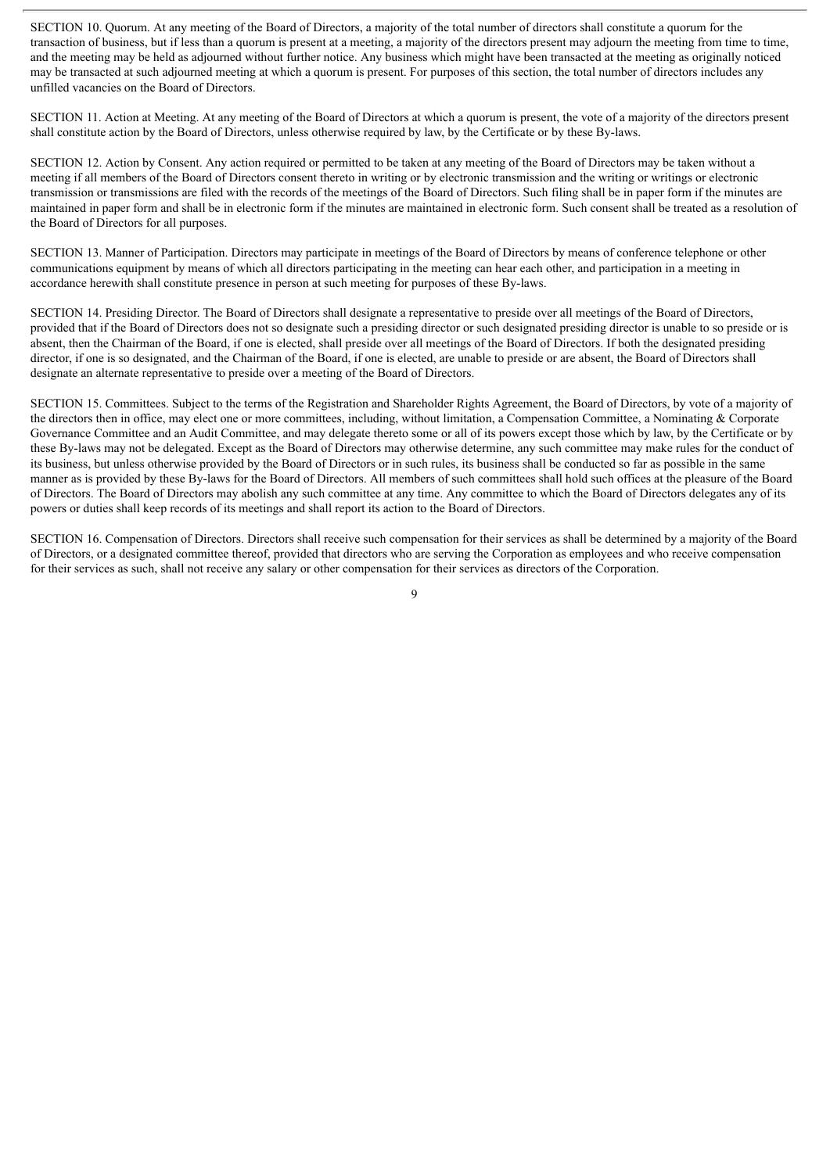SECTION 10. Quorum. At any meeting of the Board of Directors, a majority of the total number of directors shall constitute a quorum for the transaction of business, but if less than a quorum is present at a meeting, a majority of the directors present may adjourn the meeting from time to time, and the meeting may be held as adjourned without further notice. Any business which might have been transacted at the meeting as originally noticed may be transacted at such adjourned meeting at which a quorum is present. For purposes of this section, the total number of directors includes any unfilled vacancies on the Board of Directors.

SECTION 11. Action at Meeting. At any meeting of the Board of Directors at which a quorum is present, the vote of a majority of the directors present shall constitute action by the Board of Directors, unless otherwise required by law, by the Certificate or by these By-laws.

SECTION 12. Action by Consent. Any action required or permitted to be taken at any meeting of the Board of Directors may be taken without a meeting if all members of the Board of Directors consent thereto in writing or by electronic transmission and the writing or writings or electronic transmission or transmissions are filed with the records of the meetings of the Board of Directors. Such filing shall be in paper form if the minutes are maintained in paper form and shall be in electronic form if the minutes are maintained in electronic form. Such consent shall be treated as a resolution of the Board of Directors for all purposes.

SECTION 13. Manner of Participation. Directors may participate in meetings of the Board of Directors by means of conference telephone or other communications equipment by means of which all directors participating in the meeting can hear each other, and participation in a meeting in accordance herewith shall constitute presence in person at such meeting for purposes of these By-laws.

SECTION 14. Presiding Director. The Board of Directors shall designate a representative to preside over all meetings of the Board of Directors, provided that if the Board of Directors does not so designate such a presiding director or such designated presiding director is unable to so preside or is absent, then the Chairman of the Board, if one is elected, shall preside over all meetings of the Board of Directors. If both the designated presiding director, if one is so designated, and the Chairman of the Board, if one is elected, are unable to preside or are absent, the Board of Directors shall designate an alternate representative to preside over a meeting of the Board of Directors.

SECTION 15. Committees. Subject to the terms of the Registration and Shareholder Rights Agreement, the Board of Directors, by vote of a majority of the directors then in office, may elect one or more committees, including, without limitation, a Compensation Committee, a Nominating & Corporate Governance Committee and an Audit Committee, and may delegate thereto some or all of its powers except those which by law, by the Certificate or by these By-laws may not be delegated. Except as the Board of Directors may otherwise determine, any such committee may make rules for the conduct of its business, but unless otherwise provided by the Board of Directors or in such rules, its business shall be conducted so far as possible in the same manner as is provided by these By-laws for the Board of Directors. All members of such committees shall hold such offices at the pleasure of the Board of Directors. The Board of Directors may abolish any such committee at any time. Any committee to which the Board of Directors delegates any of its powers or duties shall keep records of its meetings and shall report its action to the Board of Directors.

SECTION 16. Compensation of Directors. Directors shall receive such compensation for their services as shall be determined by a majority of the Board of Directors, or a designated committee thereof, provided that directors who are serving the Corporation as employees and who receive compensation for their services as such, shall not receive any salary or other compensation for their services as directors of the Corporation.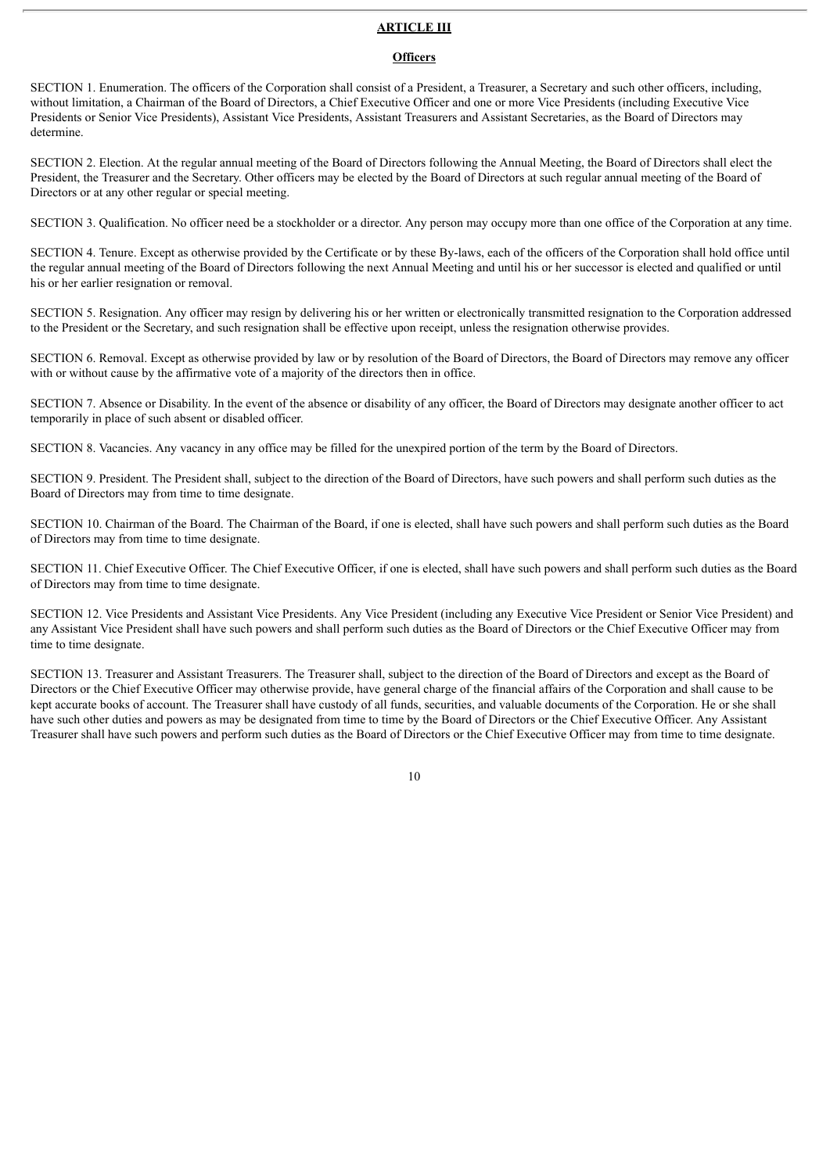#### **ARTICLE III**

#### **Officers**

SECTION 1. Enumeration. The officers of the Corporation shall consist of a President, a Treasurer, a Secretary and such other officers, including, without limitation, a Chairman of the Board of Directors, a Chief Executive Officer and one or more Vice Presidents (including Executive Vice Presidents or Senior Vice Presidents), Assistant Vice Presidents, Assistant Treasurers and Assistant Secretaries, as the Board of Directors may determine.

SECTION 2. Election. At the regular annual meeting of the Board of Directors following the Annual Meeting, the Board of Directors shall elect the President, the Treasurer and the Secretary. Other officers may be elected by the Board of Directors at such regular annual meeting of the Board of Directors or at any other regular or special meeting.

SECTION 3. Qualification. No officer need be a stockholder or a director. Any person may occupy more than one office of the Corporation at any time.

SECTION 4. Tenure. Except as otherwise provided by the Certificate or by these By-laws, each of the officers of the Corporation shall hold office until the regular annual meeting of the Board of Directors following the next Annual Meeting and until his or her successor is elected and qualified or until his or her earlier resignation or removal.

SECTION 5. Resignation. Any officer may resign by delivering his or her written or electronically transmitted resignation to the Corporation addressed to the President or the Secretary, and such resignation shall be effective upon receipt, unless the resignation otherwise provides.

SECTION 6. Removal. Except as otherwise provided by law or by resolution of the Board of Directors, the Board of Directors may remove any officer with or without cause by the affirmative vote of a majority of the directors then in office.

SECTION 7. Absence or Disability. In the event of the absence or disability of any officer, the Board of Directors may designate another officer to act temporarily in place of such absent or disabled officer.

SECTION 8. Vacancies. Any vacancy in any office may be filled for the unexpired portion of the term by the Board of Directors.

SECTION 9. President. The President shall, subject to the direction of the Board of Directors, have such powers and shall perform such duties as the Board of Directors may from time to time designate.

SECTION 10. Chairman of the Board. The Chairman of the Board, if one is elected, shall have such powers and shall perform such duties as the Board of Directors may from time to time designate.

SECTION 11. Chief Executive Officer. The Chief Executive Officer, if one is elected, shall have such powers and shall perform such duties as the Board of Directors may from time to time designate.

SECTION 12. Vice Presidents and Assistant Vice Presidents. Any Vice President (including any Executive Vice President or Senior Vice President) and any Assistant Vice President shall have such powers and shall perform such duties as the Board of Directors or the Chief Executive Officer may from time to time designate.

SECTION 13. Treasurer and Assistant Treasurers. The Treasurer shall, subject to the direction of the Board of Directors and except as the Board of Directors or the Chief Executive Officer may otherwise provide, have general charge of the financial affairs of the Corporation and shall cause to be kept accurate books of account. The Treasurer shall have custody of all funds, securities, and valuable documents of the Corporation. He or she shall have such other duties and powers as may be designated from time to time by the Board of Directors or the Chief Executive Officer. Any Assistant Treasurer shall have such powers and perform such duties as the Board of Directors or the Chief Executive Officer may from time to time designate.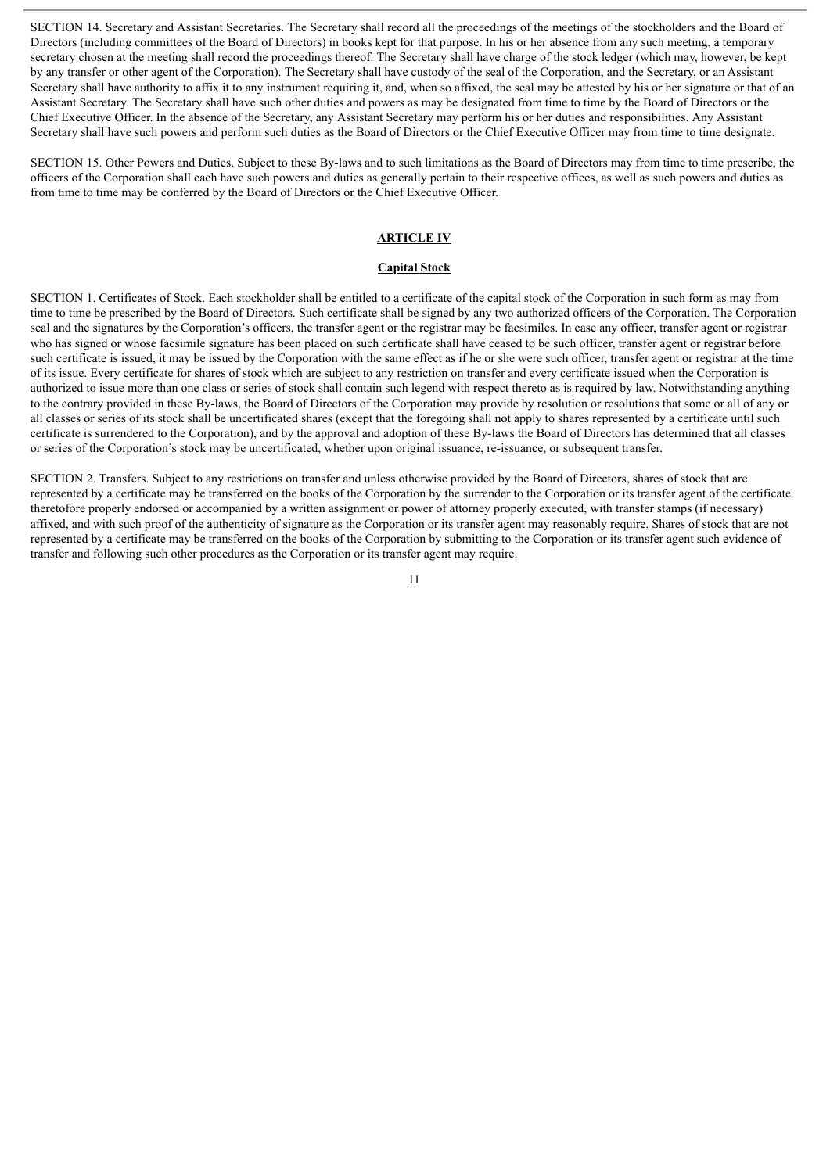SECTION 14. Secretary and Assistant Secretaries. The Secretary shall record all the proceedings of the meetings of the stockholders and the Board of Directors (including committees of the Board of Directors) in books kept for that purpose. In his or her absence from any such meeting, a temporary secretary chosen at the meeting shall record the proceedings thereof. The Secretary shall have charge of the stock ledger (which may, however, be kept by any transfer or other agent of the Corporation). The Secretary shall have custody of the seal of the Corporation, and the Secretary, or an Assistant Secretary shall have authority to affix it to any instrument requiring it, and, when so affixed, the seal may be attested by his or her signature or that of an Assistant Secretary. The Secretary shall have such other duties and powers as may be designated from time to time by the Board of Directors or the Chief Executive Officer. In the absence of the Secretary, any Assistant Secretary may perform his or her duties and responsibilities. Any Assistant Secretary shall have such powers and perform such duties as the Board of Directors or the Chief Executive Officer may from time to time designate.

SECTION 15. Other Powers and Duties. Subject to these By-laws and to such limitations as the Board of Directors may from time to time prescribe, the officers of the Corporation shall each have such powers and duties as generally pertain to their respective offices, as well as such powers and duties as from time to time may be conferred by the Board of Directors or the Chief Executive Officer.

#### **ARTICLE IV**

#### **Capital Stock**

SECTION 1. Certificates of Stock. Each stockholder shall be entitled to a certificate of the capital stock of the Corporation in such form as may from time to time be prescribed by the Board of Directors. Such certificate shall be signed by any two authorized officers of the Corporation. The Corporation seal and the signatures by the Corporation's officers, the transfer agent or the registrar may be facsimiles. In case any officer, transfer agent or registrar who has signed or whose facsimile signature has been placed on such certificate shall have ceased to be such officer, transfer agent or registrar before such certificate is issued, it may be issued by the Corporation with the same effect as if he or she were such officer, transfer agent or registrar at the time of its issue. Every certificate for shares of stock which are subject to any restriction on transfer and every certificate issued when the Corporation is authorized to issue more than one class or series of stock shall contain such legend with respect thereto as is required by law. Notwithstanding anything to the contrary provided in these By-laws, the Board of Directors of the Corporation may provide by resolution or resolutions that some or all of any or all classes or series of its stock shall be uncertificated shares (except that the foregoing shall not apply to shares represented by a certificate until such certificate is surrendered to the Corporation), and by the approval and adoption of these By-laws the Board of Directors has determined that all classes or series of the Corporation's stock may be uncertificated, whether upon original issuance, re-issuance, or subsequent transfer.

SECTION 2. Transfers. Subject to any restrictions on transfer and unless otherwise provided by the Board of Directors, shares of stock that are represented by a certificate may be transferred on the books of the Corporation by the surrender to the Corporation or its transfer agent of the certificate theretofore properly endorsed or accompanied by a written assignment or power of attorney properly executed, with transfer stamps (if necessary) affixed, and with such proof of the authenticity of signature as the Corporation or its transfer agent may reasonably require. Shares of stock that are not represented by a certificate may be transferred on the books of the Corporation by submitting to the Corporation or its transfer agent such evidence of transfer and following such other procedures as the Corporation or its transfer agent may require.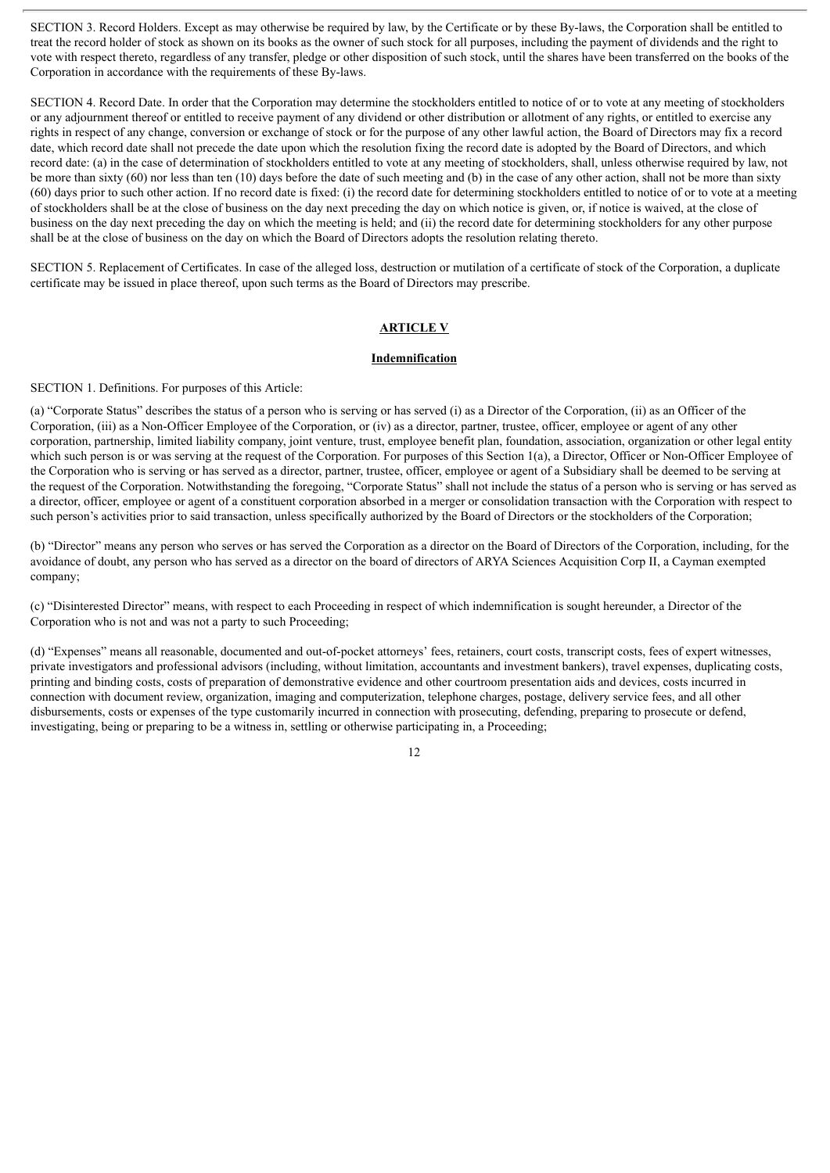SECTION 3. Record Holders. Except as may otherwise be required by law, by the Certificate or by these By-laws, the Corporation shall be entitled to treat the record holder of stock as shown on its books as the owner of such stock for all purposes, including the payment of dividends and the right to vote with respect thereto, regardless of any transfer, pledge or other disposition of such stock, until the shares have been transferred on the books of the Corporation in accordance with the requirements of these By-laws.

SECTION 4. Record Date. In order that the Corporation may determine the stockholders entitled to notice of or to vote at any meeting of stockholders or any adjournment thereof or entitled to receive payment of any dividend or other distribution or allotment of any rights, or entitled to exercise any rights in respect of any change, conversion or exchange of stock or for the purpose of any other lawful action, the Board of Directors may fix a record date, which record date shall not precede the date upon which the resolution fixing the record date is adopted by the Board of Directors, and which record date: (a) in the case of determination of stockholders entitled to vote at any meeting of stockholders, shall, unless otherwise required by law, not be more than sixty (60) nor less than ten (10) days before the date of such meeting and (b) in the case of any other action, shall not be more than sixty (60) days prior to such other action. If no record date is fixed: (i) the record date for determining stockholders entitled to notice of or to vote at a meeting of stockholders shall be at the close of business on the day next preceding the day on which notice is given, or, if notice is waived, at the close of business on the day next preceding the day on which the meeting is held; and (ii) the record date for determining stockholders for any other purpose shall be at the close of business on the day on which the Board of Directors adopts the resolution relating thereto.

SECTION 5. Replacement of Certificates. In case of the alleged loss, destruction or mutilation of a certificate of stock of the Corporation, a duplicate certificate may be issued in place thereof, upon such terms as the Board of Directors may prescribe.

#### **ARTICLE V**

#### **Indemnification**

SECTION 1. Definitions. For purposes of this Article:

(a) "Corporate Status" describes the status of a person who is serving or has served (i) as a Director of the Corporation, (ii) as an Officer of the Corporation, (iii) as a Non-Officer Employee of the Corporation, or (iv) as a director, partner, trustee, officer, employee or agent of any other corporation, partnership, limited liability company, joint venture, trust, employee benefit plan, foundation, association, organization or other legal entity which such person is or was serving at the request of the Corporation. For purposes of this Section 1(a), a Director, Officer or Non-Officer Employee of the Corporation who is serving or has served as a director, partner, trustee, officer, employee or agent of a Subsidiary shall be deemed to be serving at the request of the Corporation. Notwithstanding the foregoing, "Corporate Status" shall not include the status of a person who is serving or has served as a director, officer, employee or agent of a constituent corporation absorbed in a merger or consolidation transaction with the Corporation with respect to such person's activities prior to said transaction, unless specifically authorized by the Board of Directors or the stockholders of the Corporation;

(b) "Director" means any person who serves or has served the Corporation as a director on the Board of Directors of the Corporation, including, for the avoidance of doubt, any person who has served as a director on the board of directors of ARYA Sciences Acquisition Corp II, a Cayman exempted company;

(c) "Disinterested Director" means, with respect to each Proceeding in respect of which indemnification is sought hereunder, a Director of the Corporation who is not and was not a party to such Proceeding;

(d) "Expenses" means all reasonable, documented and out-of-pocket attorneys' fees, retainers, court costs, transcript costs, fees of expert witnesses, private investigators and professional advisors (including, without limitation, accountants and investment bankers), travel expenses, duplicating costs, printing and binding costs, costs of preparation of demonstrative evidence and other courtroom presentation aids and devices, costs incurred in connection with document review, organization, imaging and computerization, telephone charges, postage, delivery service fees, and all other disbursements, costs or expenses of the type customarily incurred in connection with prosecuting, defending, preparing to prosecute or defend, investigating, being or preparing to be a witness in, settling or otherwise participating in, a Proceeding;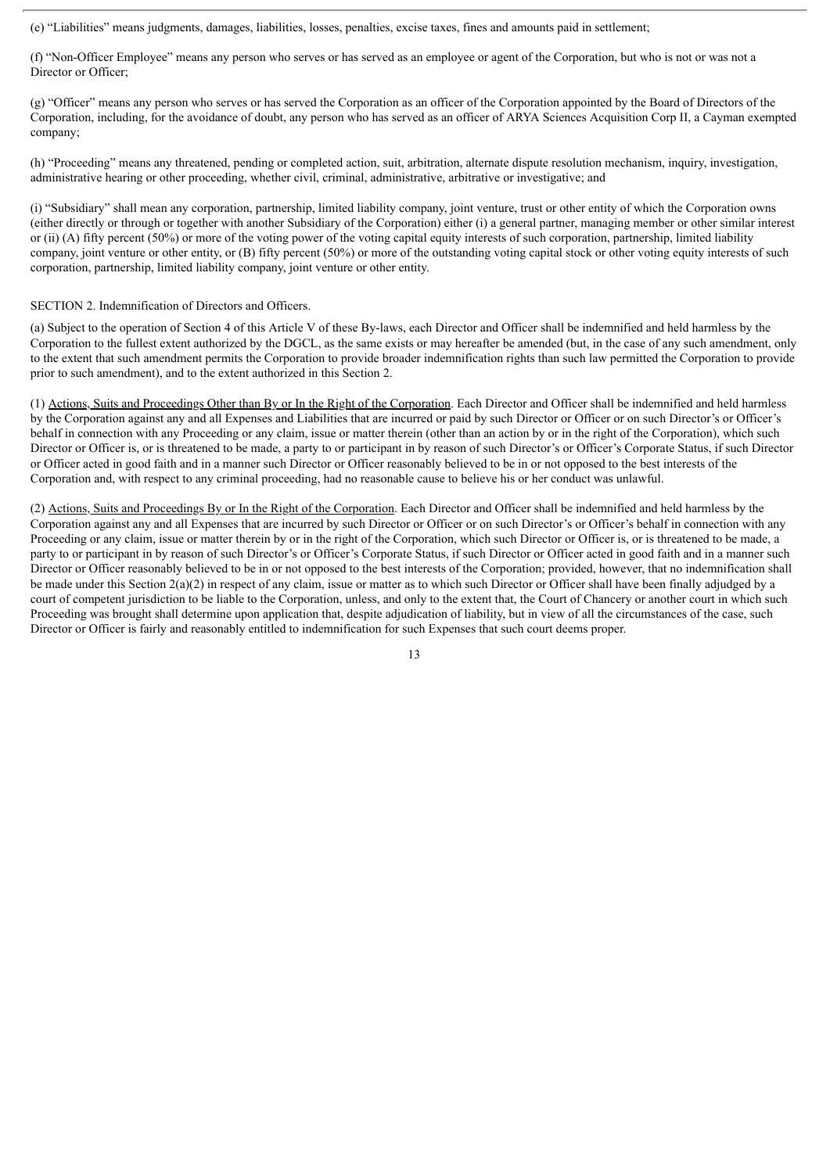(e) "Liabilities" means judgments, damages, liabilities, losses, penalties, excise taxes, fines and amounts paid in settlement;

(f) "Non-Officer Employee" means any person who serves or has served as an employee or agent of the Corporation, but who is not or was not a Director or Officer:

(g) "Officer" means any person who serves or has served the Corporation as an officer of the Corporation appointed by the Board of Directors of the Corporation, including, for the avoidance of doubt, any person who has served as an officer of ARYA Sciences Acquisition Corp II, a Cayman exempted company;

(h) "Proceeding" means any threatened, pending or completed action, suit, arbitration, alternate dispute resolution mechanism, inquiry, investigation, administrative hearing or other proceeding, whether civil, criminal, administrative, arbitrative or investigative; and

(i) "Subsidiary" shall mean any corporation, partnership, limited liability company, joint venture, trust or other entity of which the Corporation owns (either directly or through or together with another Subsidiary of the Corporation) either (i) a general partner, managing member or other similar interest or (ii) (A) fifty percent (50%) or more of the voting power of the voting capital equity interests of such corporation, partnership, limited liability company, joint venture or other entity, or (B) fifty percent (50%) or more of the outstanding voting capital stock or other voting equity interests of such corporation, partnership, limited liability company, joint venture or other entity.

#### SECTION 2. Indemnification of Directors and Officers.

(a) Subject to the operation of Section 4 of this Article V of these By-laws, each Director and Officer shall be indemnified and held harmless by the Corporation to the fullest extent authorized by the DGCL, as the same exists or may hereafter be amended (but, in the case of any such amendment, only to the extent that such amendment permits the Corporation to provide broader indemnification rights than such law permitted the Corporation to provide prior to such amendment), and to the extent authorized in this Section 2.

(1) Actions, Suits and Proceedings Other than By or In the Right of the Corporation. Each Director and Officer shall be indemnified and held harmless by the Corporation against any and all Expenses and Liabilities that are incurred or paid by such Director or Officer or on such Director's or Officer's behalf in connection with any Proceeding or any claim, issue or matter therein (other than an action by or in the right of the Corporation), which such Director or Officer is, or is threatened to be made, a party to or participant in by reason of such Director's or Officer's Corporate Status, if such Director or Officer acted in good faith and in a manner such Director or Officer reasonably believed to be in or not opposed to the best interests of the Corporation and, with respect to any criminal proceeding, had no reasonable cause to believe his or her conduct was unlawful.

(2) Actions, Suits and Proceedings By or In the Right of the Corporation. Each Director and Officer shall be indemnified and held harmless by the Corporation against any and all Expenses that are incurred by such Director or Officer or on such Director's or Officer's behalf in connection with any Proceeding or any claim, issue or matter therein by or in the right of the Corporation, which such Director or Officer is, or is threatened to be made, a party to or participant in by reason of such Director's or Officer's Corporate Status, if such Director or Officer acted in good faith and in a manner such Director or Officer reasonably believed to be in or not opposed to the best interests of the Corporation; provided, however, that no indemnification shall be made under this Section 2(a)(2) in respect of any claim, issue or matter as to which such Director or Officer shall have been finally adjudged by a court of competent jurisdiction to be liable to the Corporation, unless, and only to the extent that, the Court of Chancery or another court in which such Proceeding was brought shall determine upon application that, despite adjudication of liability, but in view of all the circumstances of the case, such Director or Officer is fairly and reasonably entitled to indemnification for such Expenses that such court deems proper.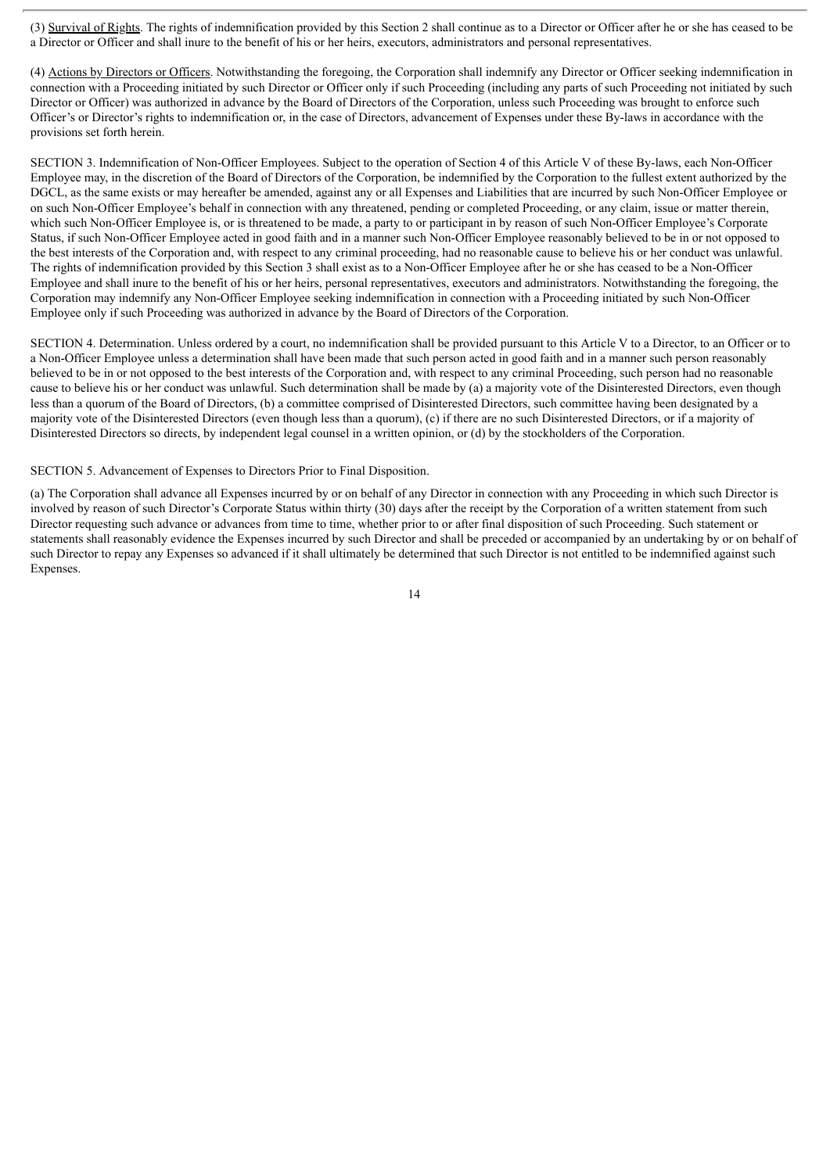(3) Survival of Rights. The rights of indemnification provided by this Section 2 shall continue as to a Director or Officer after he or she has ceased to be a Director or Officer and shall inure to the benefit of his or her heirs, executors, administrators and personal representatives.

(4) Actions by Directors or Officers. Notwithstanding the foregoing, the Corporation shall indemnify any Director or Officer seeking indemnification in connection with a Proceeding initiated by such Director or Officer only if such Proceeding (including any parts of such Proceeding not initiated by such Director or Officer) was authorized in advance by the Board of Directors of the Corporation, unless such Proceeding was brought to enforce such Officer's or Director's rights to indemnification or, in the case of Directors, advancement of Expenses under these By-laws in accordance with the provisions set forth herein.

SECTION 3. Indemnification of Non-Officer Employees. Subject to the operation of Section 4 of this Article V of these By-laws, each Non-Officer Employee may, in the discretion of the Board of Directors of the Corporation, be indemnified by the Corporation to the fullest extent authorized by the DGCL, as the same exists or may hereafter be amended, against any or all Expenses and Liabilities that are incurred by such Non-Officer Employee or on such Non-Officer Employee's behalf in connection with any threatened, pending or completed Proceeding, or any claim, issue or matter therein, which such Non-Officer Employee is, or is threatened to be made, a party to or participant in by reason of such Non-Officer Employee's Corporate Status, if such Non-Officer Employee acted in good faith and in a manner such Non-Officer Employee reasonably believed to be in or not opposed to the best interests of the Corporation and, with respect to any criminal proceeding, had no reasonable cause to believe his or her conduct was unlawful. The rights of indemnification provided by this Section 3 shall exist as to a Non-Officer Employee after he or she has ceased to be a Non-Officer Employee and shall inure to the benefit of his or her heirs, personal representatives, executors and administrators. Notwithstanding the foregoing, the Corporation may indemnify any Non-Officer Employee seeking indemnification in connection with a Proceeding initiated by such Non-Officer Employee only if such Proceeding was authorized in advance by the Board of Directors of the Corporation.

SECTION 4. Determination. Unless ordered by a court, no indemnification shall be provided pursuant to this Article V to a Director, to an Officer or to a Non-Officer Employee unless a determination shall have been made that such person acted in good faith and in a manner such person reasonably believed to be in or not opposed to the best interests of the Corporation and, with respect to any criminal Proceeding, such person had no reasonable cause to believe his or her conduct was unlawful. Such determination shall be made by (a) a majority vote of the Disinterested Directors, even though less than a quorum of the Board of Directors, (b) a committee comprised of Disinterested Directors, such committee having been designated by a majority vote of the Disinterested Directors (even though less than a quorum), (c) if there are no such Disinterested Directors, or if a majority of Disinterested Directors so directs, by independent legal counsel in a written opinion, or (d) by the stockholders of the Corporation.

SECTION 5. Advancement of Expenses to Directors Prior to Final Disposition.

(a) The Corporation shall advance all Expenses incurred by or on behalf of any Director in connection with any Proceeding in which such Director is involved by reason of such Director's Corporate Status within thirty (30) days after the receipt by the Corporation of a written statement from such Director requesting such advance or advances from time to time, whether prior to or after final disposition of such Proceeding. Such statement or statements shall reasonably evidence the Expenses incurred by such Director and shall be preceded or accompanied by an undertaking by or on behalf of such Director to repay any Expenses so advanced if it shall ultimately be determined that such Director is not entitled to be indemnified against such Expenses.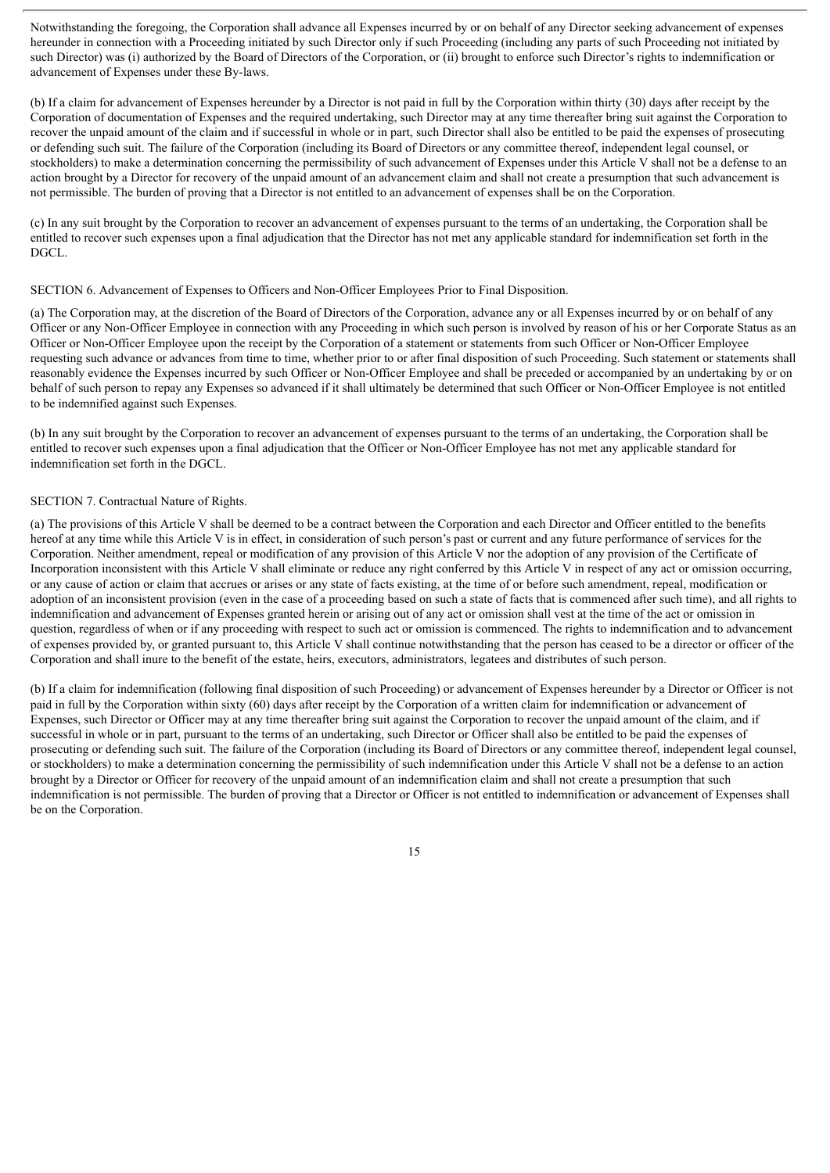Notwithstanding the foregoing, the Corporation shall advance all Expenses incurred by or on behalf of any Director seeking advancement of expenses hereunder in connection with a Proceeding initiated by such Director only if such Proceeding (including any parts of such Proceeding not initiated by such Director) was (i) authorized by the Board of Directors of the Corporation, or (ii) brought to enforce such Director's rights to indemnification or advancement of Expenses under these By-laws.

(b) If a claim for advancement of Expenses hereunder by a Director is not paid in full by the Corporation within thirty (30) days after receipt by the Corporation of documentation of Expenses and the required undertaking, such Director may at any time thereafter bring suit against the Corporation to recover the unpaid amount of the claim and if successful in whole or in part, such Director shall also be entitled to be paid the expenses of prosecuting or defending such suit. The failure of the Corporation (including its Board of Directors or any committee thereof, independent legal counsel, or stockholders) to make a determination concerning the permissibility of such advancement of Expenses under this Article V shall not be a defense to an action brought by a Director for recovery of the unpaid amount of an advancement claim and shall not create a presumption that such advancement is not permissible. The burden of proving that a Director is not entitled to an advancement of expenses shall be on the Corporation.

(c) In any suit brought by the Corporation to recover an advancement of expenses pursuant to the terms of an undertaking, the Corporation shall be entitled to recover such expenses upon a final adjudication that the Director has not met any applicable standard for indemnification set forth in the DGCL.

#### SECTION 6. Advancement of Expenses to Officers and Non-Officer Employees Prior to Final Disposition.

(a) The Corporation may, at the discretion of the Board of Directors of the Corporation, advance any or all Expenses incurred by or on behalf of any Officer or any Non-Officer Employee in connection with any Proceeding in which such person is involved by reason of his or her Corporate Status as an Officer or Non-Officer Employee upon the receipt by the Corporation of a statement or statements from such Officer or Non-Officer Employee requesting such advance or advances from time to time, whether prior to or after final disposition of such Proceeding. Such statement or statements shall reasonably evidence the Expenses incurred by such Officer or Non-Officer Employee and shall be preceded or accompanied by an undertaking by or on behalf of such person to repay any Expenses so advanced if it shall ultimately be determined that such Officer or Non-Officer Employee is not entitled to be indemnified against such Expenses.

(b) In any suit brought by the Corporation to recover an advancement of expenses pursuant to the terms of an undertaking, the Corporation shall be entitled to recover such expenses upon a final adjudication that the Officer or Non-Officer Employee has not met any applicable standard for indemnification set forth in the DGCL.

#### SECTION 7. Contractual Nature of Rights.

(a) The provisions of this Article V shall be deemed to be a contract between the Corporation and each Director and Officer entitled to the benefits hereof at any time while this Article V is in effect, in consideration of such person's past or current and any future performance of services for the Corporation. Neither amendment, repeal or modification of any provision of this Article V nor the adoption of any provision of the Certificate of Incorporation inconsistent with this Article V shall eliminate or reduce any right conferred by this Article V in respect of any act or omission occurring, or any cause of action or claim that accrues or arises or any state of facts existing, at the time of or before such amendment, repeal, modification or adoption of an inconsistent provision (even in the case of a proceeding based on such a state of facts that is commenced after such time), and all rights to indemnification and advancement of Expenses granted herein or arising out of any act or omission shall vest at the time of the act or omission in question, regardless of when or if any proceeding with respect to such act or omission is commenced. The rights to indemnification and to advancement of expenses provided by, or granted pursuant to, this Article V shall continue notwithstanding that the person has ceased to be a director or officer of the Corporation and shall inure to the benefit of the estate, heirs, executors, administrators, legatees and distributes of such person.

(b) If a claim for indemnification (following final disposition of such Proceeding) or advancement of Expenses hereunder by a Director or Officer is not paid in full by the Corporation within sixty (60) days after receipt by the Corporation of a written claim for indemnification or advancement of Expenses, such Director or Officer may at any time thereafter bring suit against the Corporation to recover the unpaid amount of the claim, and if successful in whole or in part, pursuant to the terms of an undertaking, such Director or Officer shall also be entitled to be paid the expenses of prosecuting or defending such suit. The failure of the Corporation (including its Board of Directors or any committee thereof, independent legal counsel, or stockholders) to make a determination concerning the permissibility of such indemnification under this Article V shall not be a defense to an action brought by a Director or Officer for recovery of the unpaid amount of an indemnification claim and shall not create a presumption that such indemnification is not permissible. The burden of proving that a Director or Officer is not entitled to indemnification or advancement of Expenses shall be on the Corporation.

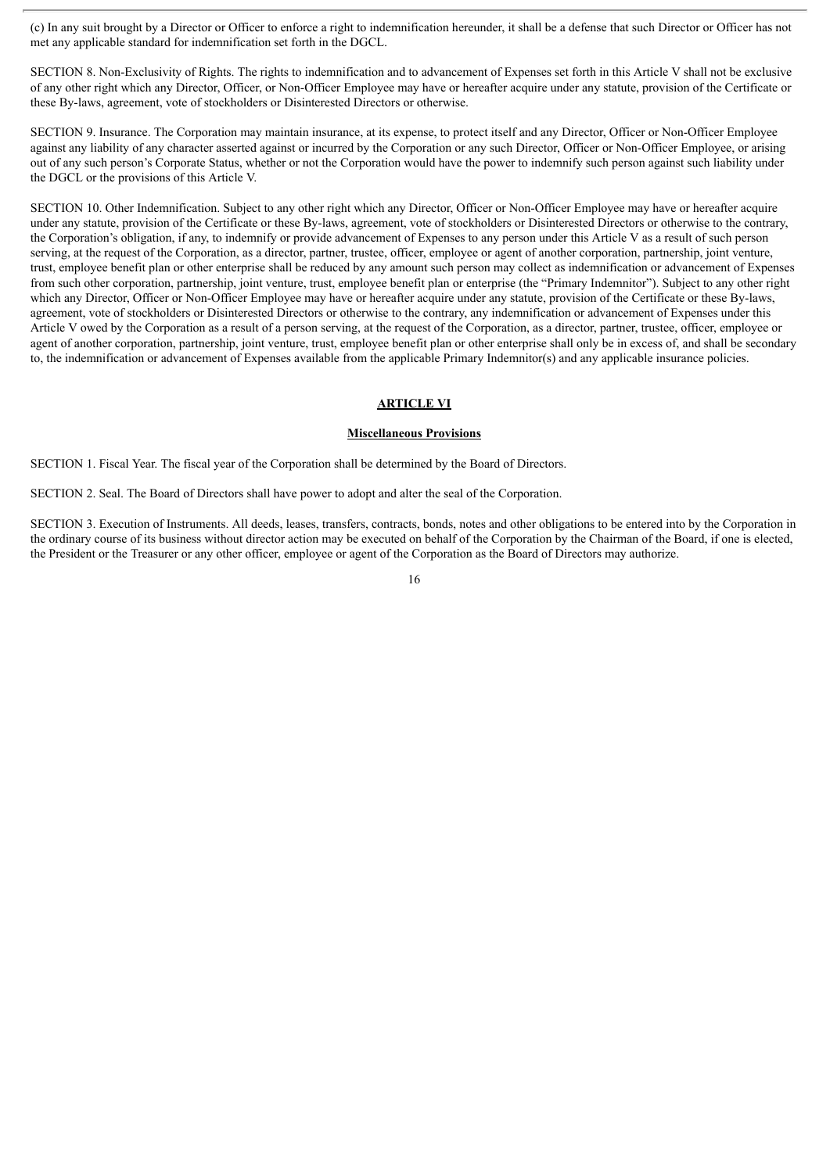(c) In any suit brought by a Director or Officer to enforce a right to indemnification hereunder, it shall be a defense that such Director or Officer has not met any applicable standard for indemnification set forth in the DGCL.

SECTION 8. Non-Exclusivity of Rights. The rights to indemnification and to advancement of Expenses set forth in this Article V shall not be exclusive of any other right which any Director, Officer, or Non-Officer Employee may have or hereafter acquire under any statute, provision of the Certificate or these By-laws, agreement, vote of stockholders or Disinterested Directors or otherwise.

SECTION 9. Insurance. The Corporation may maintain insurance, at its expense, to protect itself and any Director, Officer or Non-Officer Employee against any liability of any character asserted against or incurred by the Corporation or any such Director, Officer or Non-Officer Employee, or arising out of any such person's Corporate Status, whether or not the Corporation would have the power to indemnify such person against such liability under the DGCL or the provisions of this Article V.

SECTION 10. Other Indemnification. Subject to any other right which any Director, Officer or Non-Officer Employee may have or hereafter acquire under any statute, provision of the Certificate or these By-laws, agreement, vote of stockholders or Disinterested Directors or otherwise to the contrary, the Corporation's obligation, if any, to indemnify or provide advancement of Expenses to any person under this Article V as a result of such person serving, at the request of the Corporation, as a director, partner, trustee, officer, employee or agent of another corporation, partnership, joint venture, trust, employee benefit plan or other enterprise shall be reduced by any amount such person may collect as indemnification or advancement of Expenses from such other corporation, partnership, joint venture, trust, employee benefit plan or enterprise (the "Primary Indemnitor"). Subject to any other right which any Director, Officer or Non-Officer Employee may have or hereafter acquire under any statute, provision of the Certificate or these By-laws, agreement, vote of stockholders or Disinterested Directors or otherwise to the contrary, any indemnification or advancement of Expenses under this Article V owed by the Corporation as a result of a person serving, at the request of the Corporation, as a director, partner, trustee, officer, employee or agent of another corporation, partnership, joint venture, trust, employee benefit plan or other enterprise shall only be in excess of, and shall be secondary to, the indemnification or advancement of Expenses available from the applicable Primary Indemnitor(s) and any applicable insurance policies.

#### **ARTICLE VI**

#### **Miscellaneous Provisions**

SECTION 1. Fiscal Year. The fiscal year of the Corporation shall be determined by the Board of Directors.

SECTION 2. Seal. The Board of Directors shall have power to adopt and alter the seal of the Corporation.

SECTION 3. Execution of Instruments. All deeds, leases, transfers, contracts, bonds, notes and other obligations to be entered into by the Corporation in the ordinary course of its business without director action may be executed on behalf of the Corporation by the Chairman of the Board, if one is elected, the President or the Treasurer or any other officer, employee or agent of the Corporation as the Board of Directors may authorize.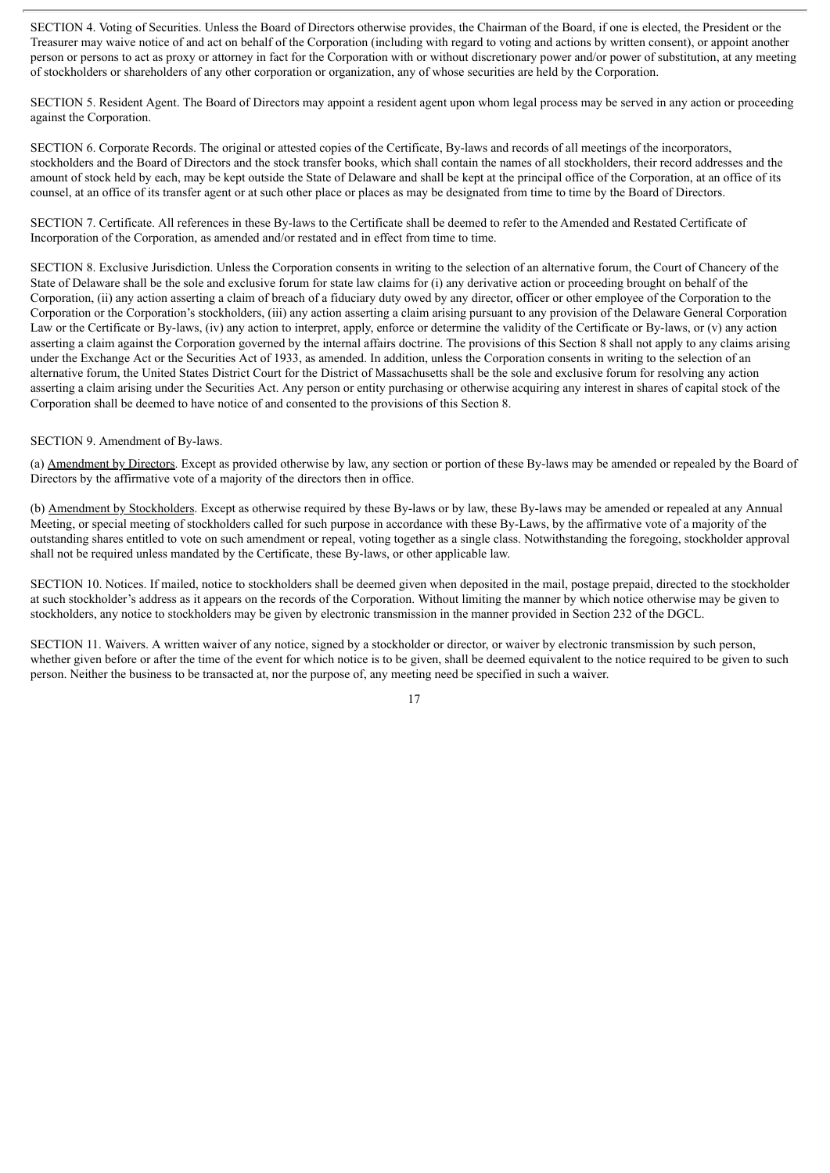SECTION 4. Voting of Securities. Unless the Board of Directors otherwise provides, the Chairman of the Board, if one is elected, the President or the Treasurer may waive notice of and act on behalf of the Corporation (including with regard to voting and actions by written consent), or appoint another person or persons to act as proxy or attorney in fact for the Corporation with or without discretionary power and/or power of substitution, at any meeting of stockholders or shareholders of any other corporation or organization, any of whose securities are held by the Corporation.

SECTION 5. Resident Agent. The Board of Directors may appoint a resident agent upon whom legal process may be served in any action or proceeding against the Corporation.

SECTION 6. Corporate Records. The original or attested copies of the Certificate, By-laws and records of all meetings of the incorporators, stockholders and the Board of Directors and the stock transfer books, which shall contain the names of all stockholders, their record addresses and the amount of stock held by each, may be kept outside the State of Delaware and shall be kept at the principal office of the Corporation, at an office of its counsel, at an office of its transfer agent or at such other place or places as may be designated from time to time by the Board of Directors.

SECTION 7. Certificate. All references in these By-laws to the Certificate shall be deemed to refer to the Amended and Restated Certificate of Incorporation of the Corporation, as amended and/or restated and in effect from time to time.

SECTION 8. Exclusive Jurisdiction. Unless the Corporation consents in writing to the selection of an alternative forum, the Court of Chancery of the State of Delaware shall be the sole and exclusive forum for state law claims for (i) any derivative action or proceeding brought on behalf of the Corporation, (ii) any action asserting a claim of breach of a fiduciary duty owed by any director, officer or other employee of the Corporation to the Corporation or the Corporation's stockholders, (iii) any action asserting a claim arising pursuant to any provision of the Delaware General Corporation Law or the Certificate or By-laws, (iv) any action to interpret, apply, enforce or determine the validity of the Certificate or By-laws, or (v) any action asserting a claim against the Corporation governed by the internal affairs doctrine. The provisions of this Section 8 shall not apply to any claims arising under the Exchange Act or the Securities Act of 1933, as amended. In addition, unless the Corporation consents in writing to the selection of an alternative forum, the United States District Court for the District of Massachusetts shall be the sole and exclusive forum for resolving any action asserting a claim arising under the Securities Act. Any person or entity purchasing or otherwise acquiring any interest in shares of capital stock of the Corporation shall be deemed to have notice of and consented to the provisions of this Section 8.

#### SECTION 9. Amendment of By-laws.

(a) Amendment by Directors. Except as provided otherwise by law, any section or portion of these By-laws may be amended or repealed by the Board of Directors by the affirmative vote of a majority of the directors then in office.

(b) Amendment by Stockholders. Except as otherwise required by these By-laws or by law, these By-laws may be amended or repealed at any Annual Meeting, or special meeting of stockholders called for such purpose in accordance with these By-Laws, by the affirmative vote of a majority of the outstanding shares entitled to vote on such amendment or repeal, voting together as a single class. Notwithstanding the foregoing, stockholder approval shall not be required unless mandated by the Certificate, these By-laws, or other applicable law.

SECTION 10. Notices. If mailed, notice to stockholders shall be deemed given when deposited in the mail, postage prepaid, directed to the stockholder at such stockholder's address as it appears on the records of the Corporation. Without limiting the manner by which notice otherwise may be given to stockholders, any notice to stockholders may be given by electronic transmission in the manner provided in Section 232 of the DGCL.

SECTION 11. Waivers. A written waiver of any notice, signed by a stockholder or director, or waiver by electronic transmission by such person, whether given before or after the time of the event for which notice is to be given, shall be deemed equivalent to the notice required to be given to such person. Neither the business to be transacted at, nor the purpose of, any meeting need be specified in such a waiver.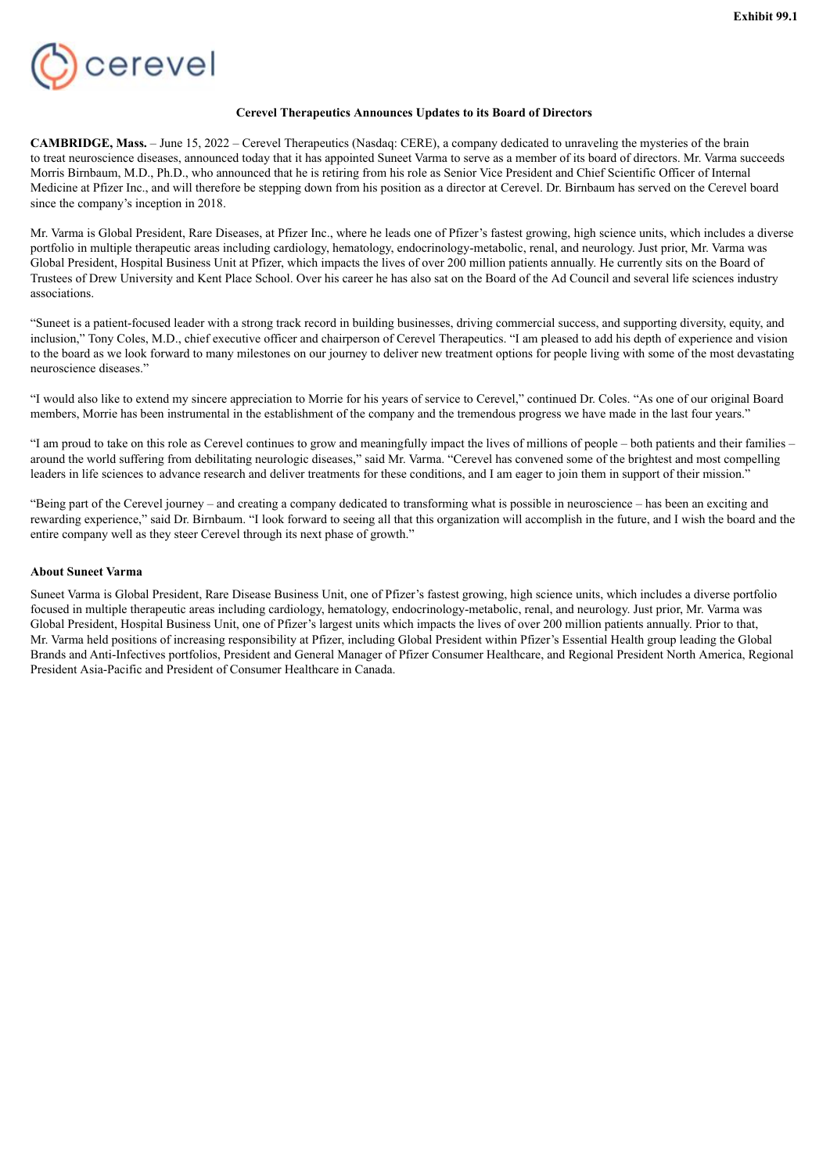<span id="page-22-0"></span>

#### **Cerevel Therapeutics Announces Updates to its Board of Directors**

**CAMBRIDGE, Mass.** – June 15, 2022 – Cerevel Therapeutics (Nasdaq: CERE), a company dedicated to unraveling the mysteries of the brain to treat neuroscience diseases, announced today that it has appointed Suneet Varma to serve as a member of its board of directors. Mr. Varma succeeds Morris Birnbaum, M.D., Ph.D., who announced that he is retiring from his role as Senior Vice President and Chief Scientific Officer of Internal Medicine at Pfizer Inc., and will therefore be stepping down from his position as a director at Cerevel. Dr. Birnbaum has served on the Cerevel board since the company's inception in 2018.

Mr. Varma is Global President, Rare Diseases, at Pfizer Inc., where he leads one of Pfizer's fastest growing, high science units, which includes a diverse portfolio in multiple therapeutic areas including cardiology, hematology, endocrinology-metabolic, renal, and neurology. Just prior, Mr. Varma was Global President, Hospital Business Unit at Pfizer, which impacts the lives of over 200 million patients annually. He currently sits on the Board of Trustees of Drew University and Kent Place School. Over his career he has also sat on the Board of the Ad Council and several life sciences industry associations.

"Suneet is a patient-focused leader with a strong track record in building businesses, driving commercial success, and supporting diversity, equity, and inclusion," Tony Coles, M.D., chief executive officer and chairperson of Cerevel Therapeutics. "I am pleased to add his depth of experience and vision to the board as we look forward to many milestones on our journey to deliver new treatment options for people living with some of the most devastating neuroscience diseases."

"I would also like to extend my sincere appreciation to Morrie for his years of service to Cerevel," continued Dr. Coles. "As one of our original Board members, Morrie has been instrumental in the establishment of the company and the tremendous progress we have made in the last four years."

"I am proud to take on this role as Cerevel continues to grow and meaningfully impact the lives of millions of people – both patients and their families – around the world suffering from debilitating neurologic diseases," said Mr. Varma. "Cerevel has convened some of the brightest and most compelling leaders in life sciences to advance research and deliver treatments for these conditions, and I am eager to join them in support of their mission."

"Being part of the Cerevel journey – and creating a company dedicated to transforming what is possible in neuroscience – has been an exciting and rewarding experience," said Dr. Birnbaum. "I look forward to seeing all that this organization will accomplish in the future, and I wish the board and the entire company well as they steer Cerevel through its next phase of growth."

#### **About Suneet Varma**

Suneet Varma is Global President, Rare Disease Business Unit, one of Pfizer's fastest growing, high science units, which includes a diverse portfolio focused in multiple therapeutic areas including cardiology, hematology, endocrinology-metabolic, renal, and neurology. Just prior, Mr. Varma was Global President, Hospital Business Unit, one of Pfizer's largest units which impacts the lives of over 200 million patients annually. Prior to that, Mr. Varma held positions of increasing responsibility at Pfizer, including Global President within Pfizer's Essential Health group leading the Global Brands and Anti-Infectives portfolios, President and General Manager of Pfizer Consumer Healthcare, and Regional President North America, Regional President Asia-Pacific and President of Consumer Healthcare in Canada.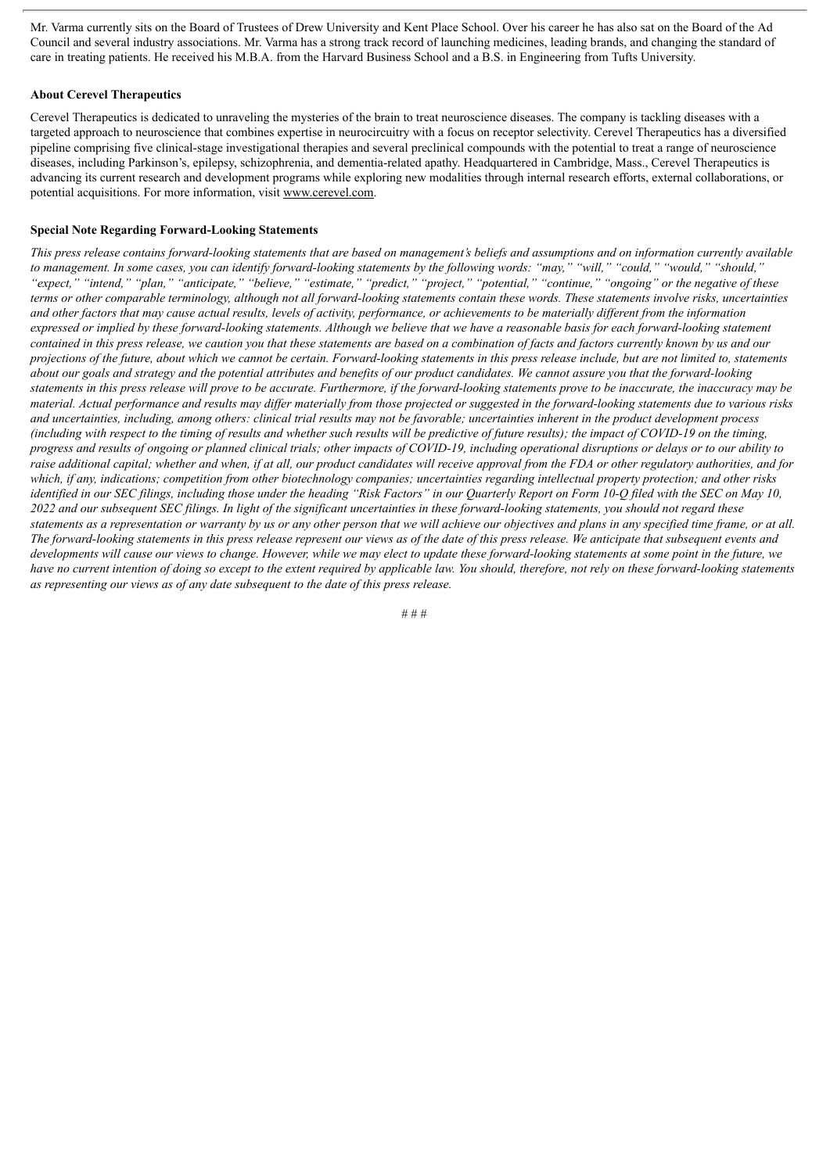Mr. Varma currently sits on the Board of Trustees of Drew University and Kent Place School. Over his career he has also sat on the Board of the Ad Council and several industry associations. Mr. Varma has a strong track record of launching medicines, leading brands, and changing the standard of care in treating patients. He received his M.B.A. from the Harvard Business School and a B.S. in Engineering from Tufts University.

#### **About Cerevel Therapeutics**

Cerevel Therapeutics is dedicated to unraveling the mysteries of the brain to treat neuroscience diseases. The company is tackling diseases with a targeted approach to neuroscience that combines expertise in neurocircuitry with a focus on receptor selectivity. Cerevel Therapeutics has a diversified pipeline comprising five clinical-stage investigational therapies and several preclinical compounds with the potential to treat a range of neuroscience diseases, including Parkinson's, epilepsy, schizophrenia, and dementia-related apathy. Headquartered in Cambridge, Mass., Cerevel Therapeutics is advancing its current research and development programs while exploring new modalities through internal research efforts, external collaborations, or potential acquisitions. For more information, visit www.cerevel.com.

#### **Special Note Regarding Forward-Looking Statements**

This press release contains forward-looking statements that are based on management's beliefs and assumptions and on information currently available to management. In some cases, you can identify forward-looking statements by the following words: "may," "will," "could," "would," "should," "expect," "intend," "plan," "anticipate," "believe," "estimate," "predict," "project," "potential," "continue," "ongoing" or the negative of these terms or other comparable terminology, although not all forward-looking statements contain these words. These statements involve risks, uncertainties and other factors that may cause actual results, levels of activity, performance, or achievements to be materially different from the information expressed or implied by these forward-looking statements. Although we believe that we have a reasonable basis for each forward-looking statement contained in this press release, we caution you that these statements are based on a combination of facts and factors currently known by us and our projections of the future, about which we cannot be certain. Forward-looking statements in this press release include, but are not limited to, statements about our goals and strategy and the potential attributes and benefits of our product candidates. We cannot assure you that the forward-looking statements in this press release will prove to be accurate. Furthermore, if the forward-looking statements prove to be inaccurate, the inaccuracy may be material. Actual performance and results may differ materially from those projected or suggested in the forward-looking statements due to various risks and uncertainties, including, among others: clinical trial results may not be favorable; uncertainties inherent in the product development process (including with respect to the timing of results and whether such results will be predictive of future results); the impact of COVID-19 on the timing, progress and results of ongoing or planned clinical trials; other impacts of COVID-19, including operational disruptions or delays or to our ability to raise additional capital; whether and when, if at all, our product candidates will receive approval from the FDA or other regulatory authorities, and for which, if any, indications; competition from other biotechnology companies; uncertainties regarding intellectual property protection; and other risks identified in our SEC filings, including those under the heading "Risk Factors" in our Quarterly Report on Form 10-Q filed with the SEC on May 10, 2022 and our subsequent SEC filings. In light of the significant uncertainties in these forward-looking statements, you should not regard these statements as a representation or warranty by us or any other person that we will achieve our objectives and plans in any specified time frame, or at all. The forward-looking statements in this press release represent our views as of the date of this press release. We anticipate that subsequent events and developments will cause our views to change. However, while we may elect to update these forward-looking statements at some point in the future, we have no current intention of doing so except to the extent required by applicable law. You should, therefore, not rely on these forward-looking statements *as representing our views as of any date subsequent to the date of this press release.*

# # #